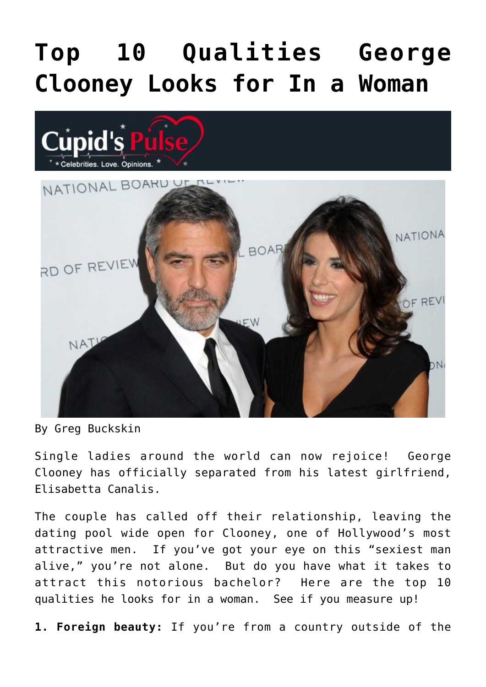# **[Top 10 Qualities George](https://cupidspulse.com/16497/top-10-qualities-george-clooney-looks-for-woman/) [Clooney Looks for In a Woman](https://cupidspulse.com/16497/top-10-qualities-george-clooney-looks-for-woman/)**



By Greg Buckskin

Single ladies around the world can now rejoice! George Clooney has officially separated from his latest girlfriend, Elisabetta Canalis.

The couple has called off their relationship, leaving the dating pool wide open for Clooney, one of Hollywood's most attractive men. If you've got your eye on this "sexiest man alive," you're not alone. But do you have what it takes to attract this notorious bachelor? Here are the top 10 qualities he looks for in a woman. See if you measure up!

**1. Foreign beauty:** If you're from a country outside of the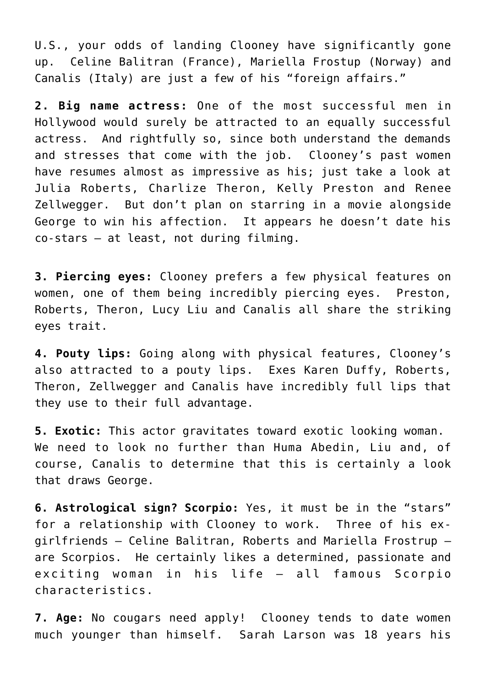U.S., your odds of landing Clooney have significantly gone up. Celine Balitran (France), Mariella Frostup (Norway) and Canalis (Italy) are just a few of his "foreign affairs."

**2. Big name actress:** One of the most successful men in Hollywood would surely be attracted to an equally successful actress. And rightfully so, since both understand the demands and stresses that come with the job. Clooney's past women have resumes almost as impressive as his; just take a look at Julia Roberts, Charlize Theron, Kelly Preston and Renee Zellwegger. But don't plan on starring in a movie alongside George to win his affection. It appears he doesn't date his co-stars – at least, not during filming.

**3. Piercing eyes:** Clooney prefers a few physical features on women, one of them being incredibly piercing eyes. Preston, Roberts, Theron, Lucy Liu and Canalis all share the striking eyes trait.

**4. Pouty lips:** Going along with physical features, Clooney's also attracted to a pouty lips. Exes Karen Duffy, Roberts, Theron, Zellwegger and Canalis have incredibly full lips that they use to their full advantage.

**5. Exotic:** This actor gravitates toward exotic looking woman. We need to look no further than Huma Abedin, Liu and, of course, Canalis to determine that this is certainly a look that draws George.

**6. Astrological sign? Scorpio:** Yes, it must be in the "stars" for a relationship with Clooney to work. Three of his exgirlfriends – Celine Balitran, Roberts and Mariella Frostrup – are Scorpios. He certainly likes a determined, passionate and exciting woman in his life – all famous Scorpio characteristics.

**7. Age:** No cougars need apply! Clooney tends to date women much younger than himself. Sarah Larson was 18 years his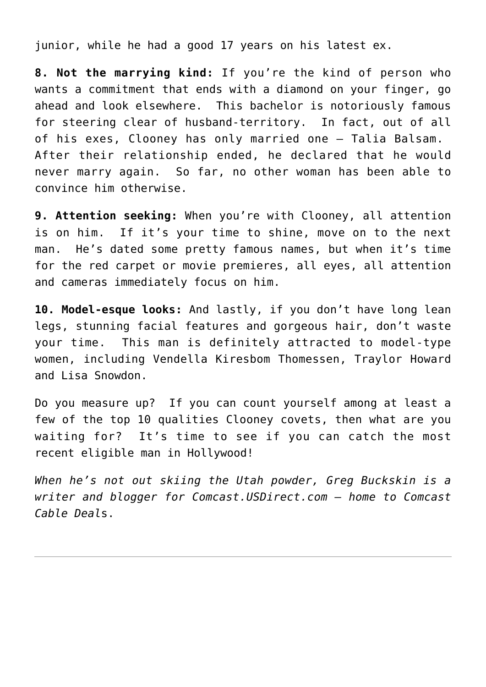junior, while he had a good 17 years on his latest ex.

**8. Not the marrying kind:** If you're the kind of person who wants a commitment that ends with a diamond on your finger, go ahead and look elsewhere. This bachelor is notoriously famous for steering clear of husband-territory. In fact, out of all of his exes, Clooney has only married one – Talia Balsam. After their relationship ended, he declared that he would never marry again. So far, no other woman has been able to convince him otherwise.

**9. Attention seeking:** When you're with Clooney, all attention is on him. If it's your time to shine, move on to the next man. He's dated some pretty famous names, but when it's time for the red carpet or movie premieres, all eyes, all attention and cameras immediately focus on him.

**10. Model-esque looks:** And lastly, if you don't have long lean legs, stunning facial features and gorgeous hair, don't waste your time. This man is definitely attracted to model-type women, including Vendella Kiresbom Thomessen, Traylor Howard and Lisa Snowdon.

Do you measure up? If you can count yourself among at least a few of the top 10 qualities Clooney covets, then what are you waiting for? It's time to see if you can catch the most recent eligible man in Hollywood!

*When he's not out skiing the Utah powder, Greg Buckskin is a writer and blogger for Comcast.USDirect.com – home to Comcast Cable Deal*s.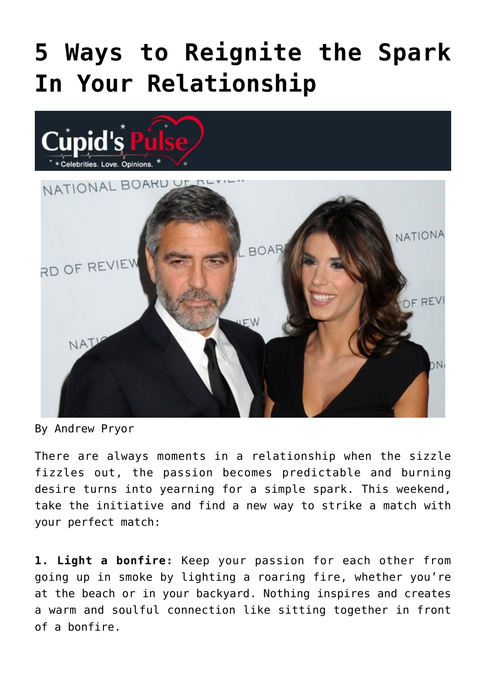## **[5 Ways to Reignite the Spark](https://cupidspulse.com/16163/5-ways-reignite-spark-relationship-dating-tips/) [In Your Relationship](https://cupidspulse.com/16163/5-ways-reignite-spark-relationship-dating-tips/)**



By Andrew Pryor

There are always moments in a relationship when the sizzle fizzles out, the passion becomes predictable and burning desire turns into yearning for a simple spark. This weekend, take the initiative and find a new way to strike a match with your perfect match:

**1. Light a bonfire:** Keep your passion for each other from going up in smoke by lighting a roaring fire, whether you're at the beach or in your backyard. Nothing inspires and creates a warm and soulful connection like sitting together in front of a bonfire.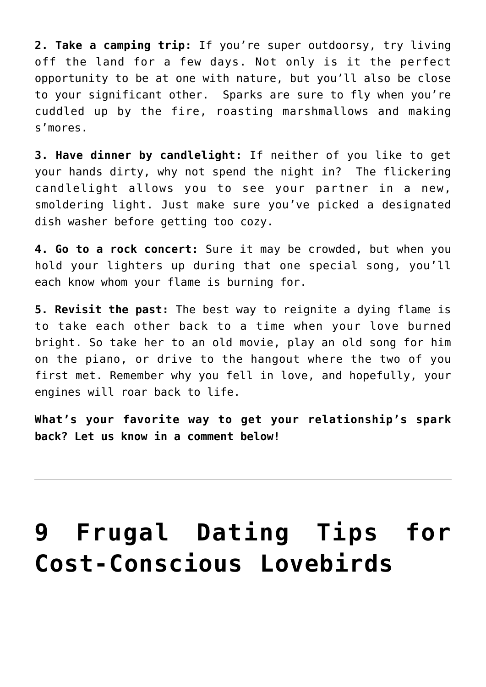**2. Take a camping trip:** If you're super outdoorsy, try living off the land for a few days. Not only is it the perfect opportunity to be at one with nature, but you'll also be close to your significant other. Sparks are sure to fly when you're cuddled up by the fire, roasting marshmallows and making s'mores.

**3. Have dinner by candlelight:** If neither of you like to get your hands dirty, why not spend the night in? The flickering candlelight allows you to see your partner in a new, smoldering light. Just make sure you've picked a designated dish washer before getting too cozy.

**4. Go to a rock concert:** Sure it may be crowded, but when you hold your lighters up during that one special song, you'll each know whom your flame is burning for.

**5. Revisit the past:** The best way to reignite a dying flame is to take each other back to a time when your love burned bright. So take her to an old movie, play an old song for him on the piano, or drive to the hangout where the two of you first met. Remember why you fell in love, and hopefully, your engines will roar back to life.

**What's your favorite way to get your relationship's spark back? Let us know in a comment below!**

## **[9 Frugal Dating Tips for](https://cupidspulse.com/16287/9-frugal-dating-tips-cost-conscious-lovebirds/) [Cost-Conscious Lovebirds](https://cupidspulse.com/16287/9-frugal-dating-tips-cost-conscious-lovebirds/)**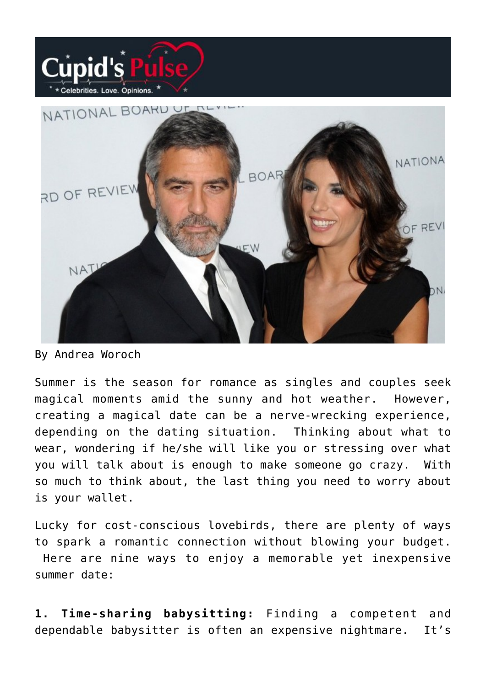



By Andrea Woroch

Summer is the season for romance as singles and couples seek magical moments amid the sunny and hot weather. However, creating a magical date can be a nerve-wrecking experience, depending on the dating situation. Thinking about what to wear, wondering if he/she will like you or stressing over what you will talk about is enough to make someone go crazy. With so much to think about, the last thing you need to worry about is your wallet.

Lucky for cost-conscious lovebirds, there are plenty of ways to spark a romantic connection without blowing your budget. Here are nine ways to enjoy a memorable yet inexpensive summer date:

**1. Time-sharing babysitting:** Finding a competent and dependable babysitter is often an expensive nightmare. It's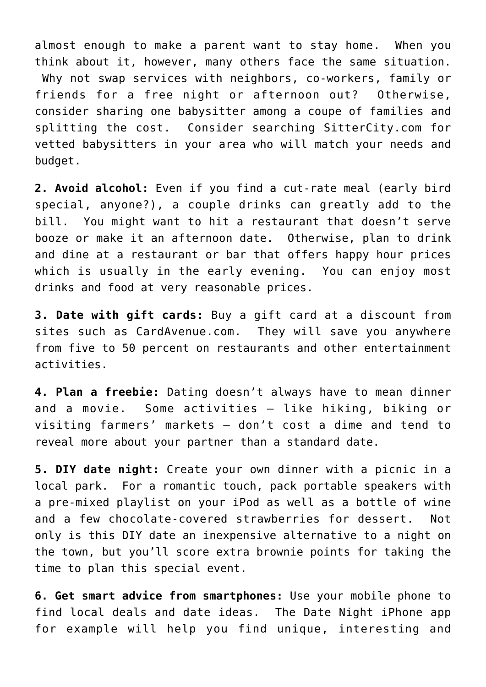almost enough to make a parent want to stay home. When you think about it, however, many others face the same situation. Why not swap services with neighbors, co-workers, family or friends for a free night or afternoon out? Otherwise, consider sharing one babysitter among a coupe of families and splitting the cost. Consider searching SitterCity.com for vetted babysitters in your area who will match your needs and budget.

**2. Avoid alcohol:** Even if you find a cut-rate meal (early bird special, anyone?), a couple drinks can greatly add to the bill. You might want to hit a restaurant that doesn't serve booze or make it an afternoon date. Otherwise, plan to drink and dine at a restaurant or bar that offers happy hour prices which is usually in the early evening. You can enjoy most drinks and food at very reasonable prices.

**3. Date with gift cards:** Buy a gift card at a discount from sites such as CardAvenue.com. They will save you anywhere from five to 50 percent on restaurants and other entertainment activities.

**4. Plan a freebie:** Dating doesn't always have to mean dinner and a movie. Some activities – like hiking, biking or visiting farmers' markets – don't cost a dime and tend to reveal more about your partner than a standard date.

**5. DIY date night:** Create your own dinner with a picnic in a local park. For a romantic touch, pack portable speakers with a pre-mixed playlist on your iPod as well as a bottle of wine and a few chocolate-covered strawberries for dessert. Not only is this DIY date an inexpensive alternative to a night on the town, but you'll score extra brownie points for taking the time to plan this special event.

**6. Get smart advice from smartphones:** Use your mobile phone to find local deals and date ideas. The Date Night iPhone app for example will help you find unique, interesting and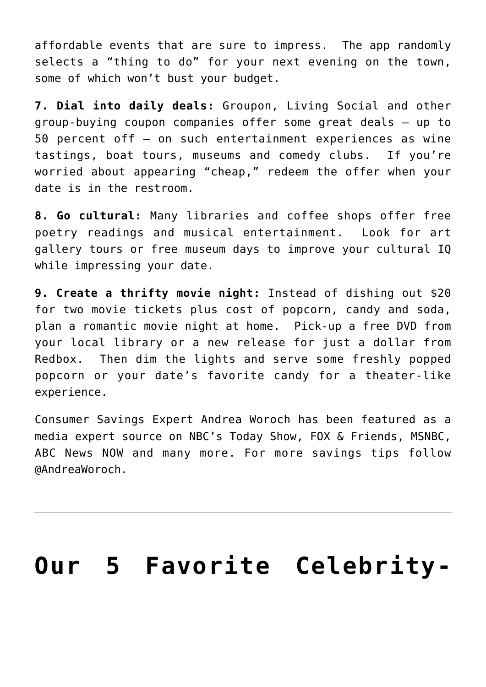affordable events that are sure to impress. The app randomly selects a "thing to do" for your next evening on the town, some of which won't bust your budget.

**7. Dial into daily deals:** Groupon, Living Social and other group-buying coupon companies offer some great deals – up to 50 percent off – on such entertainment experiences as wine tastings, boat tours, museums and comedy clubs. If you're worried about appearing "cheap," redeem the offer when your date is in the restroom.

**8. Go cultural:** Many libraries and coffee shops offer free poetry readings and musical entertainment. Look for art gallery tours or free museum days to improve your cultural IQ while impressing your date.

**9. Create a thrifty movie night:** Instead of dishing out \$20 for two movie tickets plus cost of popcorn, candy and soda, plan a romantic movie night at home. Pick-up a free DVD from your local library or a new release for just a dollar from Redbox. Then dim the lights and serve some freshly popped popcorn or your date's favorite candy for a theater-like experience.

Consumer Savings Expert Andrea Woroch has been featured as a media expert source on NBC's Today Show, FOX & Friends, MSNBC, ABC News NOW and many more. For more savings tips follow @AndreaWoroch.

### **[Our 5 Favorite Celebrity-](https://cupidspulse.com/15874/5-favorite-celebrity-athlete-couples/)**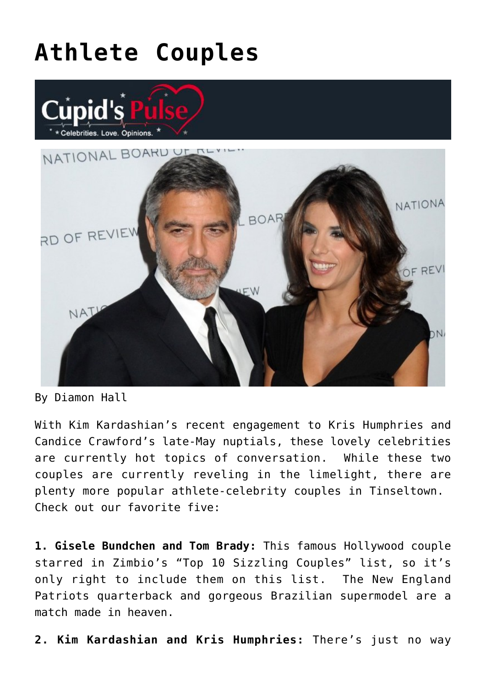# **[Athlete Couples](https://cupidspulse.com/15874/5-favorite-celebrity-athlete-couples/)**





By Diamon Hall

With Kim Kardashian's recent engagement to Kris Humphries and Candice Crawford's late-May nuptials, these lovely celebrities are currently hot topics of conversation. While these two couples are currently reveling in the limelight, there are plenty more popular athlete-celebrity couples in Tinseltown. Check out our favorite five:

**1. Gisele Bundchen and Tom Brady:** This famous Hollywood couple starred in Zimbio's "Top 10 Sizzling Couples" list, so it's only right to include them on this list. The New England Patriots quarterback and gorgeous Brazilian supermodel are a match made in heaven.

**2. Kim Kardashian and Kris Humphries:** There's just no way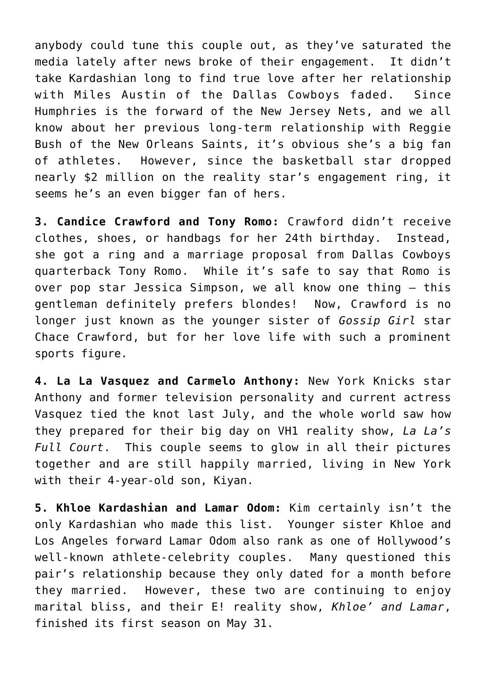anybody could tune this couple out, as they've saturated the media lately after news broke of their engagement. It didn't take Kardashian long to find true love after her relationship with Miles Austin of the Dallas Cowboys faded. Since Humphries is the forward of the New Jersey Nets, and we all know about her previous long-term relationship with Reggie Bush of the New Orleans Saints, it's obvious she's a big fan of athletes. However, since the basketball star dropped nearly \$2 million on the reality star's engagement ring, it seems he's an even bigger fan of hers.

**3. Candice Crawford and Tony Romo:** Crawford didn't receive clothes, shoes, or handbags for her 24th birthday. Instead, she got a ring and a marriage proposal from Dallas Cowboys quarterback Tony Romo. While it's safe to say that Romo is over pop star Jessica Simpson, we all know one thing – this gentleman definitely prefers blondes! Now, Crawford is no longer just known as the younger sister of *Gossip Girl* star Chace Crawford, but for her love life with such a prominent sports figure.

**4. La La Vasquez and Carmelo Anthony:** New York Knicks star Anthony and former television personality and current actress Vasquez tied the knot last July, and the whole world saw how they prepared for their big day on VH1 reality show, *La La's Full Court*. This couple seems to glow in all their pictures together and are still happily married, living in New York with their 4-year-old son, Kiyan.

**5. Khloe Kardashian and Lamar Odom:** Kim certainly isn't the only Kardashian who made this list. Younger sister Khloe and Los Angeles forward Lamar Odom also rank as one of Hollywood's well-known athlete-celebrity couples. Many questioned this pair's relationship because they only dated for a month before they married. However, these two are continuing to enjoy marital bliss, and their E! reality show, *Khloe' and Lamar*, finished its first season on May 31.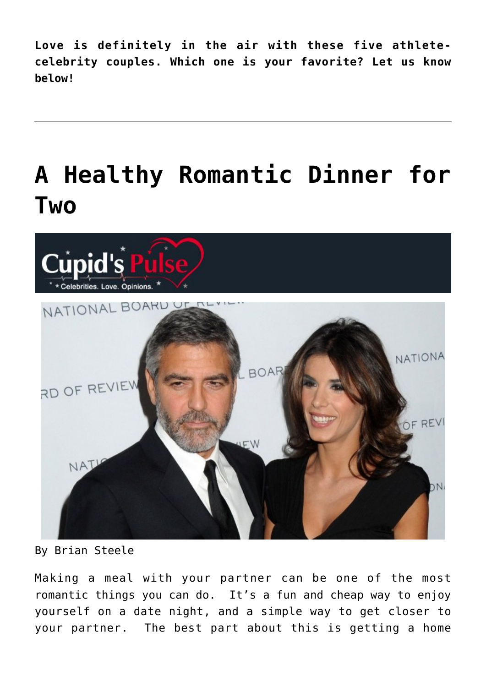**Love is definitely in the air with these five athletecelebrity couples. Which one is your favorite? Let us know below!**

### **[A Healthy Romantic Dinner for](https://cupidspulse.com/16211/healthy-romantic-dinner-for-two-dating-tips/) [Two](https://cupidspulse.com/16211/healthy-romantic-dinner-for-two-dating-tips/)**



By Brian Steele

Making a meal with your partner can be one of the most romantic things you can do. It's a fun and cheap way to enjoy yourself on a date night, and a simple way to get closer to your partner. The best part about this is getting a home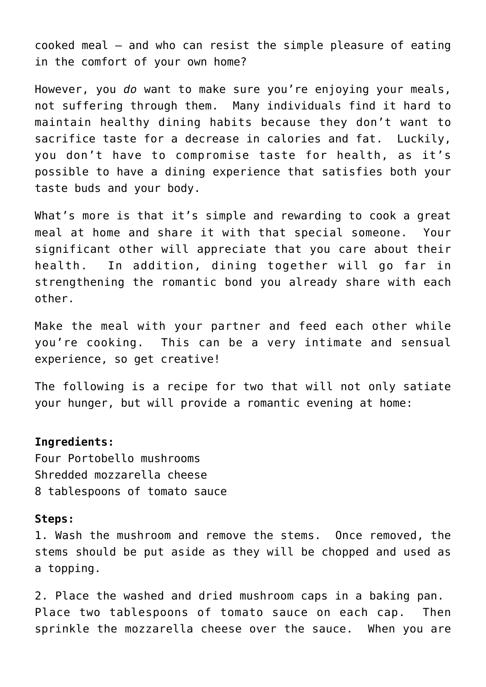cooked meal – and who can resist the simple pleasure of eating in the comfort of your own home?

However, you *do* want to make sure you're enjoying your meals, not suffering through them. Many individuals find it hard to maintain healthy dining habits because they don't want to sacrifice taste for a decrease in calories and fat. Luckily, you don't have to compromise taste for health, as it's possible to have a dining experience that satisfies both your taste buds and your body.

What's more is that it's simple and rewarding to cook a great meal at home and share it with that special someone. Your significant other will appreciate that you care about their health. In addition, dining together will go far in strengthening the romantic bond you already share with each other.

Make the meal with your partner and feed each other while you're cooking. This can be a very intimate and sensual experience, so get creative!

The following is a recipe for two that will not only satiate your hunger, but will provide a romantic evening at home:

#### **Ingredients:**

Four Portobello mushrooms Shredded mozzarella cheese 8 tablespoons of tomato sauce

#### **Steps:**

1. Wash the mushroom and remove the stems. Once removed, the stems should be put aside as they will be chopped and used as a topping.

2. Place the washed and dried mushroom caps in a baking pan. Place two tablespoons of tomato sauce on each cap. Then sprinkle the mozzarella cheese over the sauce. When you are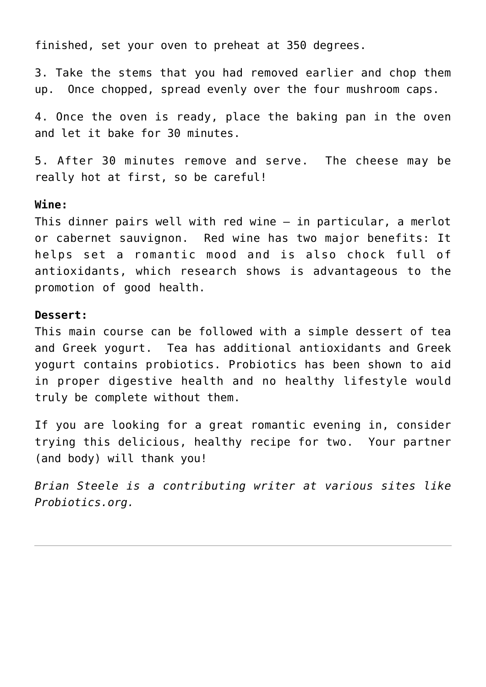finished, set your oven to preheat at 350 degrees.

3. Take the stems that you had removed earlier and chop them up. Once chopped, spread evenly over the four mushroom caps.

4. Once the oven is ready, place the baking pan in the oven and let it bake for 30 minutes.

5. After 30 minutes remove and serve. The cheese may be really hot at first, so be careful!

#### **Wine:**

This dinner pairs well with red wine – in particular, a merlot or cabernet sauvignon. Red wine has two major benefits: It helps set a romantic mood and is also chock full of antioxidants, which research shows is advantageous to the promotion of good health.

#### **Dessert:**

This main course can be followed with a simple dessert of tea and Greek yogurt. Tea has additional antioxidants and Greek yogurt contains probiotics. Probiotics has been shown to aid in proper digestive health and no healthy lifestyle would truly be complete without them.

If you are looking for a great romantic evening in, consider trying this delicious, healthy recipe for two. Your partner (and body) will thank you!

*Brian Steele is a contributing writer at various sites like Probiotics.org.*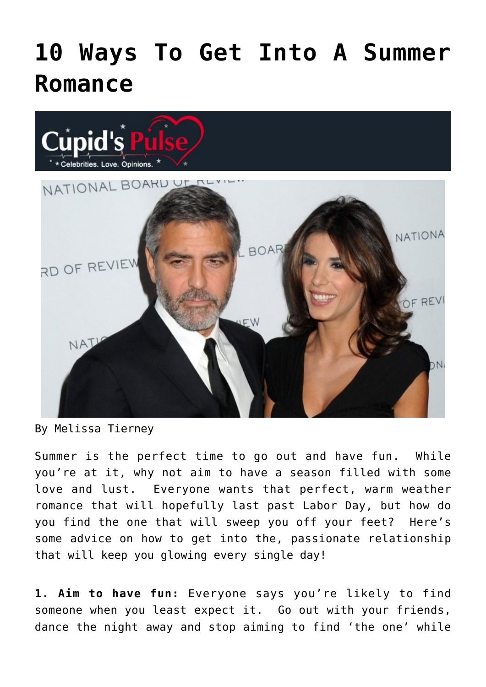### **[10 Ways To Get Into A Summer](https://cupidspulse.com/15746/10-ways-summer-romance-dating-tips/) [Romance](https://cupidspulse.com/15746/10-ways-summer-romance-dating-tips/)**



By Melissa Tierney

Summer is the perfect time to go out and have fun. While you're at it, why not aim to have a season filled with some love and lust. Everyone wants that perfect, warm weather romance that will hopefully last past Labor Day, but how do you find the one that will sweep you off your feet? Here's some advice on how to get into the, passionate relationship that will keep you glowing every single day!

**1. Aim to have fun:** Everyone says you're likely to find someone when you least expect it. Go out with your friends, dance the night away and stop aiming to find 'the one' while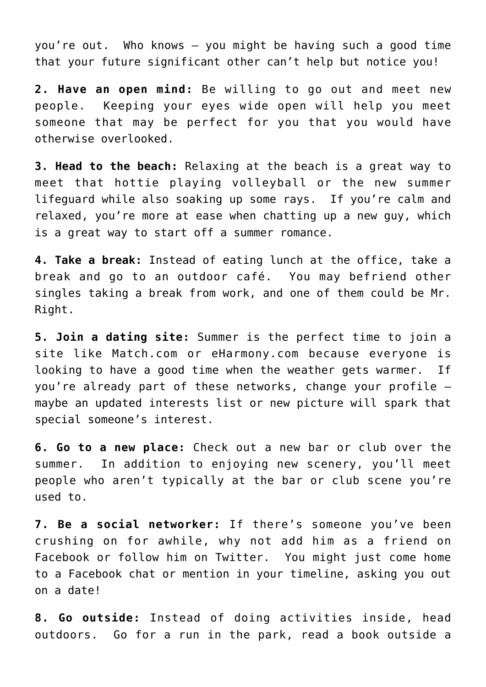you're out. Who knows – you might be having such a good time that your future significant other can't help but notice you!

**2. Have an open mind:** Be willing to go out and meet new people. Keeping your eyes wide open will help you meet someone that may be perfect for you that you would have otherwise overlooked.

**3. Head to the beach:** Relaxing at the beach is a great way to meet that hottie playing volleyball or the new summer lifeguard while also soaking up some rays. If you're calm and relaxed, you're more at ease when chatting up a new guy, which is a great way to start off a summer romance.

**4. Take a break:** Instead of eating lunch at the office, take a break and go to an outdoor café. You may befriend other singles taking a break from work, and one of them could be Mr. Right.

**5. Join a dating site:** Summer is the perfect time to join a site like Match.com or eHarmony.com because everyone is looking to have a good time when the weather gets warmer. If you're already part of these networks, change your profile – maybe an updated interests list or new picture will spark that special someone's interest.

**6. Go to a new place:** Check out a new bar or club over the summer. In addition to enjoying new scenery, you'll meet people who aren't typically at the bar or club scene you're used to.

**7. Be a social networker:** If there's someone you've been crushing on for awhile, why not add him as a friend on Facebook or follow him on Twitter. You might just come home to a Facebook chat or mention in your timeline, asking you out on a date!

**8. Go outside:** Instead of doing activities inside, head outdoors. Go for a run in the park, read a book outside a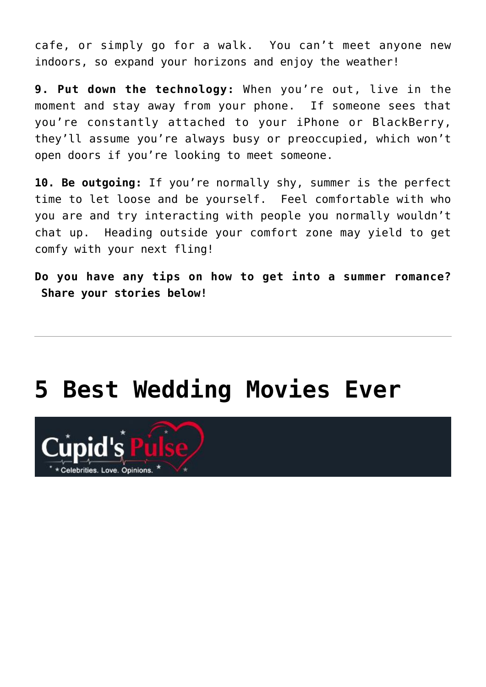cafe, or simply go for a walk. You can't meet anyone new indoors, so expand your horizons and enjoy the weather!

**9. Put down the technology:** When you're out, live in the moment and stay away from your phone. If someone sees that you're constantly attached to your iPhone or BlackBerry, they'll assume you're always busy or preoccupied, which won't open doors if you're looking to meet someone.

**10. Be outgoing:** If you're normally shy, summer is the perfect time to let loose and be yourself. Feel comfortable with who you are and try interacting with people you normally wouldn't chat up. Heading outside your comfort zone may yield to get comfy with your next fling!

**Do you have any tips on how to get into a summer romance? Share your stories below!**

### **[5 Best Wedding Movies Ever](https://cupidspulse.com/16126/5-best-wedding-movies-ever/)**

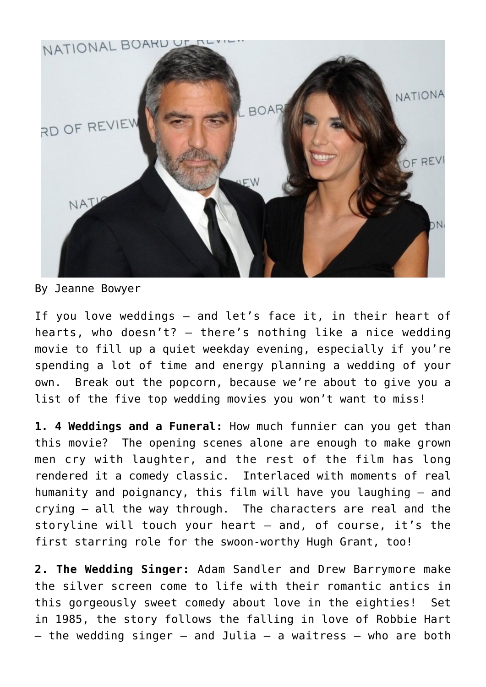

By Jeanne Bowyer

If you love weddings — and let's face it, in their heart of hearts, who doesn't? — there's nothing like a nice wedding movie to fill up a quiet weekday evening, especially if you're spending a lot of time and energy planning a wedding of your own. Break out the popcorn, because we're about to give you a list of the five top wedding movies you won't want to miss!

**1. 4 Weddings and a Funeral:** How much funnier can you get than this movie? The opening scenes alone are enough to make grown men cry with laughter, and the rest of the film has long rendered it a comedy classic. Interlaced with moments of real humanity and poignancy, this film will have you laughing — and crying — all the way through. The characters are real and the storyline will touch your heart — and, of course, it's the first starring role for the swoon-worthy Hugh Grant, too!

**2. The Wedding Singer:** Adam Sandler and Drew Barrymore make the silver screen come to life with their romantic antics in this gorgeously sweet comedy about love in the eighties! Set in 1985, the story follows the falling in love of Robbie Hart  $-$  the wedding singer  $-$  and Julia  $-$  a waitress  $-$  who are both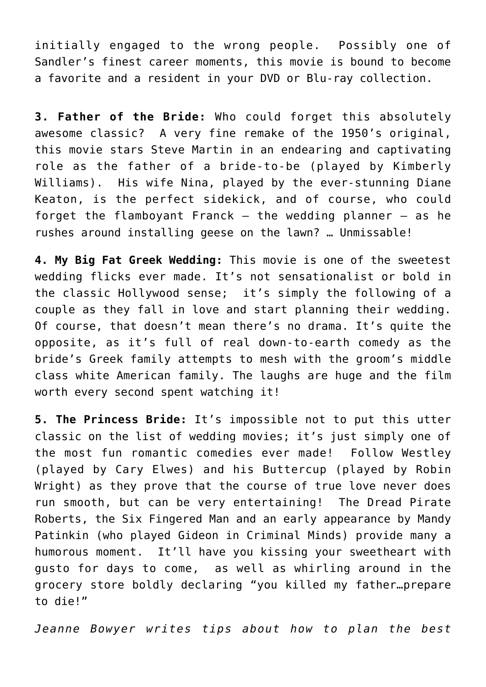initially engaged to the wrong people. Possibly one of Sandler's finest career moments, this movie is bound to become a favorite and a resident in your DVD or Blu-ray collection.

**3. Father of the Bride:** Who could forget this absolutely awesome classic? A very fine remake of the 1950's original, this movie stars Steve Martin in an endearing and captivating role as the father of a bride-to-be (played by Kimberly Williams). His wife Nina, played by the ever-stunning Diane Keaton, is the perfect sidekick, and of course, who could forget the flamboyant Franck  $-$  the wedding planner  $-$  as he rushes around installing geese on the lawn? … Unmissable!

**4. My Big Fat Greek Wedding:** This movie is one of the sweetest wedding flicks ever made. It's not sensationalist or bold in the classic Hollywood sense; it's simply the following of a couple as they fall in love and start planning their wedding. Of course, that doesn't mean there's no drama. It's quite the opposite, as it's full of real down-to-earth comedy as the bride's Greek family attempts to mesh with the groom's middle class white American family. The laughs are huge and the film worth every second spent watching it!

**5. The Princess Bride:** It's impossible not to put this utter classic on the list of wedding movies; it's just simply one of the most fun romantic comedies ever made! Follow Westley (played by Cary Elwes) and his Buttercup (played by Robin Wright) as they prove that the course of true love never does run smooth, but can be very entertaining! The Dread Pirate Roberts, the Six Fingered Man and an early appearance by Mandy Patinkin (who played Gideon in Criminal Minds) provide many a humorous moment. It'll have you kissing your sweetheart with gusto for days to come, as well as whirling around in the grocery store boldly declaring "you killed my father…prepare to die!"

*Jeanne Bowyer writes tips about how to plan the best*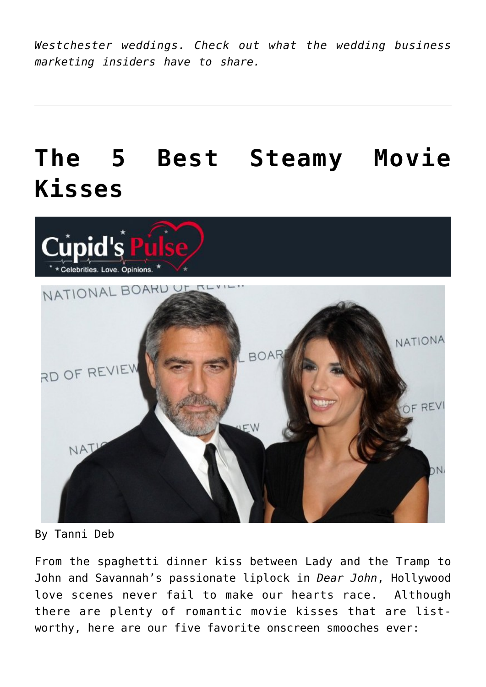*Westchester weddings. Check out what the wedding business marketing insiders have to share.*

### **[The 5 Best Steamy Movie](https://cupidspulse.com/15958/5-best-steamy-movie-kisses/) [Kisses](https://cupidspulse.com/15958/5-best-steamy-movie-kisses/)**





By Tanni Deb

From the spaghetti dinner kiss between Lady and the Tramp to John and Savannah's passionate liplock in *Dear John*, Hollywood love scenes never fail to make our hearts race. Although there are plenty of romantic movie kisses that are listworthy, here are our five favorite onscreen smooches ever: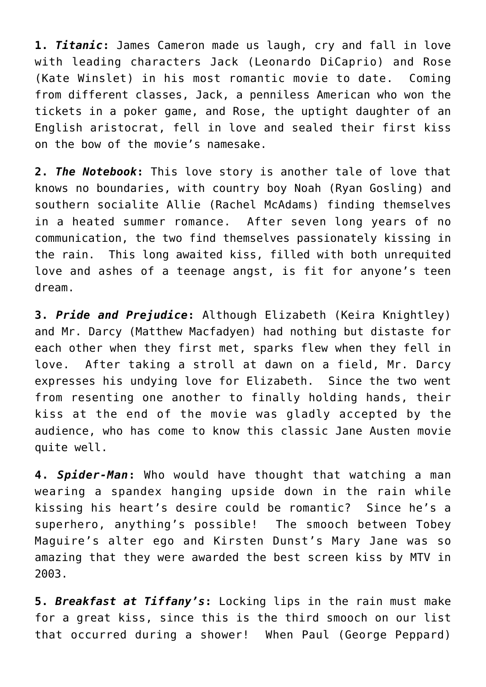**1.** *Titanic***:** James Cameron made us laugh, cry and fall in love with leading characters Jack (Leonardo DiCaprio) and Rose (Kate Winslet) in his most romantic movie to date. Coming from different classes, Jack, a penniless American who won the tickets in a poker game, and Rose, the uptight daughter of an English aristocrat, fell in love and sealed their first kiss on the bow of the movie's namesake.

**2.** *The Notebook***:** This love story is another tale of love that knows no boundaries, with country boy Noah (Ryan Gosling) and southern socialite Allie (Rachel McAdams) finding themselves in a heated summer romance. After seven long years of no communication, the two find themselves passionately kissing in the rain. This long awaited kiss, filled with both unrequited love and ashes of a teenage angst, is fit for anyone's teen dream.

**3.** *Pride and Prejudice***:** Although Elizabeth (Keira Knightley) and Mr. Darcy (Matthew Macfadyen) had nothing but distaste for each other when they first met, sparks flew when they fell in love. After taking a stroll at dawn on a field, Mr. Darcy expresses his undying love for Elizabeth. Since the two went from resenting one another to finally holding hands, their kiss at the end of the movie was gladly accepted by the audience, who has come to know this classic Jane Austen movie quite well.

**4.** *Spider-Man***:** Who would have thought that watching a man wearing a spandex hanging upside down in the rain while kissing his heart's desire could be romantic? Since he's a superhero, anything's possible! The smooch between Tobey Maguire's alter ego and Kirsten Dunst's Mary Jane was so amazing that they were awarded the best screen kiss by MTV in 2003.

**5.** *Breakfast at Tiffany's***:** Locking lips in the rain must make for a great kiss, since this is the third smooch on our list that occurred during a shower! When Paul (George Peppard)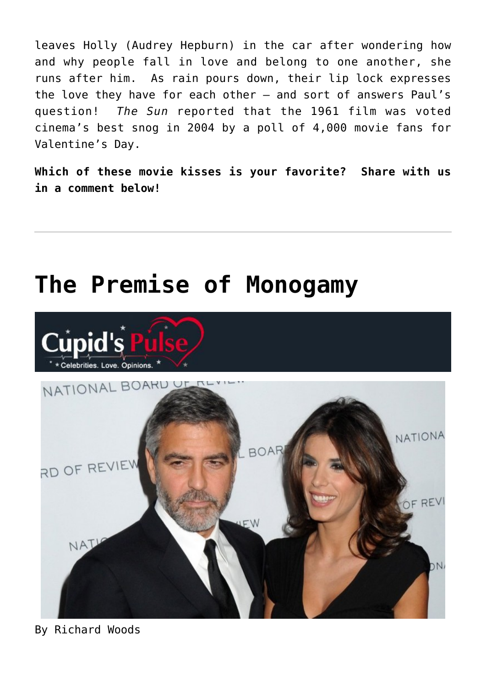leaves Holly (Audrey Hepburn) in the car after wondering how and why people fall in love and belong to one another, she runs after him. As rain pours down, their lip lock expresses the love they have for each other – and sort of answers Paul's question! *The Sun* reported that the 1961 film was voted cinema's best snog in 2004 by a poll of 4,000 movie fans for Valentine's Day.

**Which of these movie kisses is your favorite? Share with us in a comment below!**

### **[The Premise of Monogamy](https://cupidspulse.com/16026/the-premise-of-monogamy/)**



By Richard Woods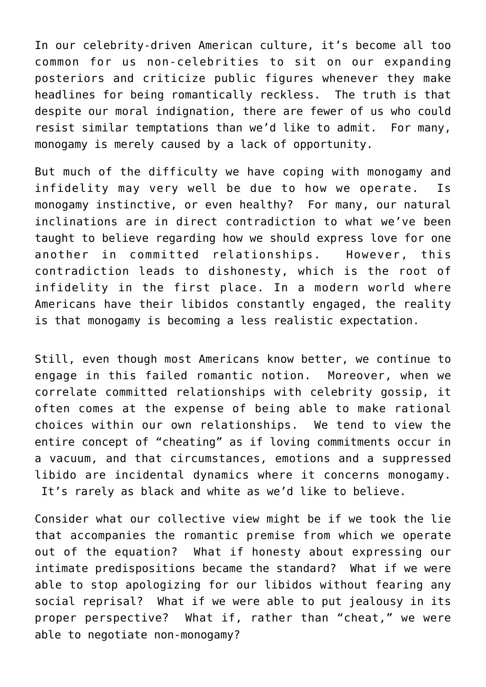In our celebrity-driven American culture, it's become all too common for us non-celebrities to sit on our expanding posteriors and criticize public figures whenever they make headlines for being romantically reckless. The truth is that despite our moral indignation, there are fewer of us who could resist similar temptations than we'd like to admit. For many, monogamy is merely caused by a lack of opportunity.

But much of the difficulty we have coping with monogamy and infidelity may very well be due to how we operate. Is monogamy instinctive, or even healthy? For many, our natural inclinations are in direct contradiction to what we've been taught to believe regarding how we should express love for one another in committed relationships. However, this contradiction leads to dishonesty, which is the root of infidelity in the first place. In a modern world where Americans have their libidos constantly engaged, the reality is that monogamy is becoming a less realistic expectation.

Still, even though most Americans know better, we continue to engage in this failed romantic notion. Moreover, when we correlate committed relationships with celebrity gossip, it often comes at the expense of being able to make rational choices within our own relationships. We tend to view the entire concept of "cheating" as if loving commitments occur in a vacuum, and that circumstances, emotions and a suppressed libido are incidental dynamics where it concerns monogamy. It's rarely as black and white as we'd like to believe.

Consider what our collective view might be if we took the lie that accompanies the romantic premise from which we operate out of the equation? What if honesty about expressing our intimate predispositions became the standard? What if we were able to stop apologizing for our libidos without fearing any social reprisal? What if we were able to put jealousy in its proper perspective? What if, rather than "cheat," we were able to negotiate non-monogamy?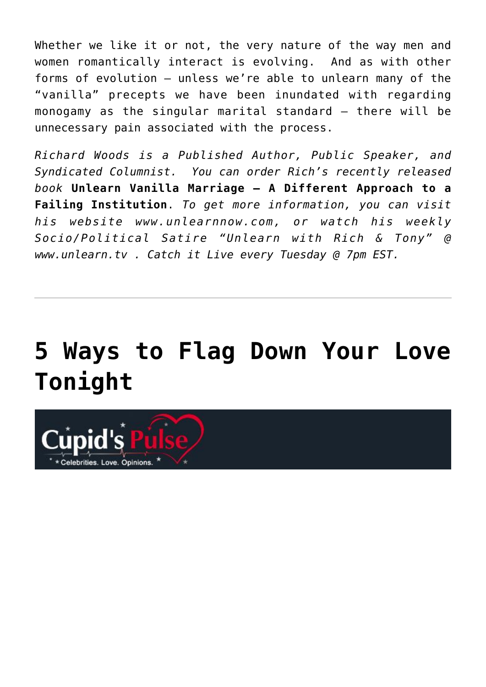Whether we like it or not, the very nature of the way men and women romantically interact is evolving. And as with other forms of evolution — unless we're able to unlearn many of the "vanilla" precepts we have been inundated with regarding monogamy as the singular marital standard — there will be unnecessary pain associated with the process.

*Richard Woods is a Published Author, Public Speaker, and Syndicated Columnist. You can order Rich's recently released book* **Unlearn Vanilla Marriage – A Different Approach to a Failing Institution**. *To get more information, you can visit his website www.unlearnnow.com, or watch his weekly Socio/Political Satire "Unlearn with Rich & Tony" @ www.unlearn.tv . Catch it Live every Tuesday @ 7pm EST.*

### **[5 Ways to Flag Down Your Love](https://cupidspulse.com/15749/5-ways-flag-down-love-tonight/) [Tonight](https://cupidspulse.com/15749/5-ways-flag-down-love-tonight/)**

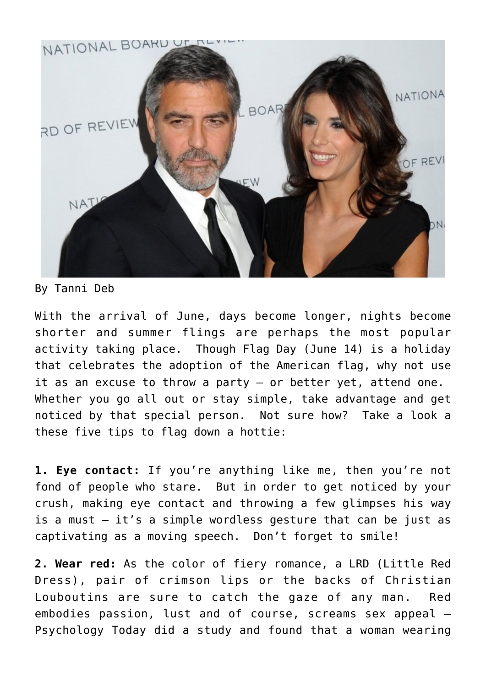

By Tanni Deb

With the arrival of June, days become longer, nights become shorter and summer flings are perhaps the most popular activity taking place. Though Flag Day (June 14) is a holiday that celebrates the adoption of the American flag, why not use it as an excuse to throw a party – or better yet, attend one. Whether you go all out or stay simple, take advantage and get noticed by that special person. Not sure how? Take a look a these five tips to flag down a hottie:

**1. Eye contact:** If you're anything like me, then you're not fond of people who stare. But in order to get noticed by your crush, making eye contact and throwing a few glimpses his way is a must – it's a simple wordless gesture that can be just as captivating as a moving speech. Don't forget to smile!

**2. Wear red:** As the color of fiery romance, a LRD (Little Red Dress), pair of crimson lips or the backs of Christian Louboutins are sure to catch the gaze of any man. Red embodies passion, lust and of course, screams sex appeal – Psychology Today did a study and found that a woman wearing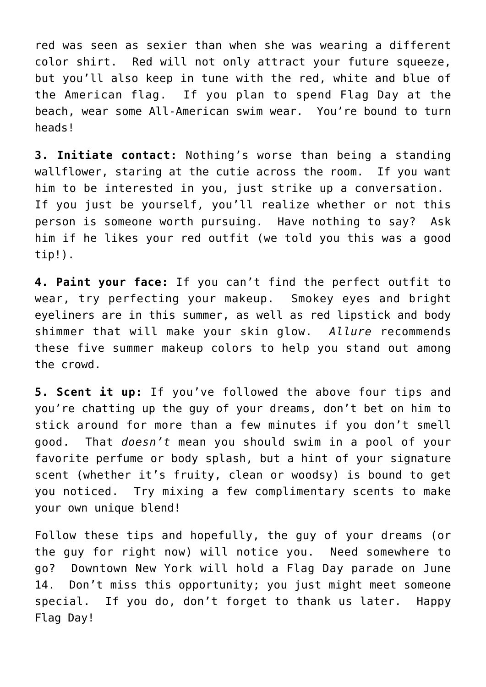red was seen as sexier than when she was wearing a different color shirt. Red will not only attract your future squeeze, but you'll also keep in tune with the red, white and blue of the American flag. If you plan to spend Flag Day at the beach, wear some All-American swim wear. You're bound to turn heads!

**3. Initiate contact:** Nothing's worse than being a standing wallflower, staring at the cutie across the room. If you want him to be interested in you, just strike up a conversation. If you just be yourself, you'll realize whether or not this person is someone worth pursuing. Have nothing to say? Ask him if he likes your red outfit (we told you this was a good tip!).

**4. Paint your face:** If you can't find the perfect outfit to wear, try perfecting your makeup. Smokey eyes and bright eyeliners are in this summer, as well as red lipstick and body shimmer that will make your skin glow. *Allure* recommends these five summer makeup colors to help you stand out among the crowd.

**5. Scent it up:** If you've followed the above four tips and you're chatting up the guy of your dreams, don't bet on him to stick around for more than a few minutes if you don't smell good. That *doesn't* mean you should swim in a pool of your favorite perfume or body splash, but a hint of your signature scent (whether it's fruity, clean or woodsy) is bound to get you noticed. Try mixing a few complimentary scents to make your own unique blend!

Follow these tips and hopefully, the guy of your dreams (or the guy for right now) will notice you. Need somewhere to go? Downtown New York will hold a Flag Day parade on June 14. Don't miss this opportunity; you just might meet someone special. If you do, don't forget to thank us later. Happy Flag Day!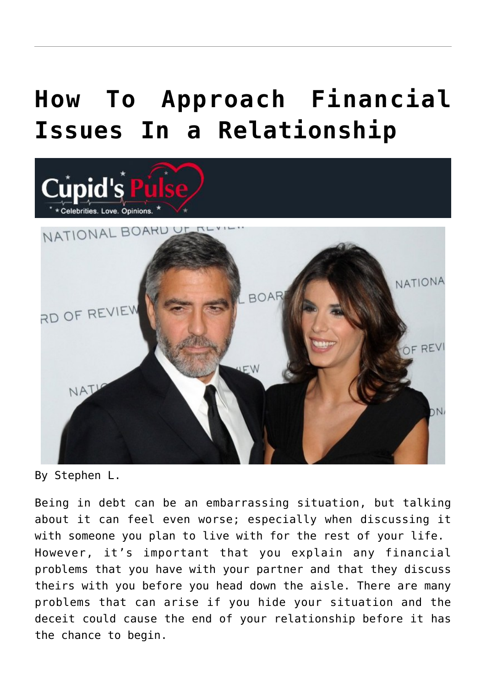# **[How To Approach Financial](https://cupidspulse.com/15672/how-to-approach-financial-issues-in-a-relationship/) [Issues In a Relationship](https://cupidspulse.com/15672/how-to-approach-financial-issues-in-a-relationship/)**



By Stephen L.

Being in debt can be an embarrassing situation, but talking about it can feel even worse; especially when discussing it with someone you plan to live with for the rest of your life. However, it's important that you explain any financial problems that you have with your partner and that they discuss theirs with you before you head down the aisle. There are many problems that can arise if you hide your situation and the deceit could cause the end of your relationship before it has the chance to begin.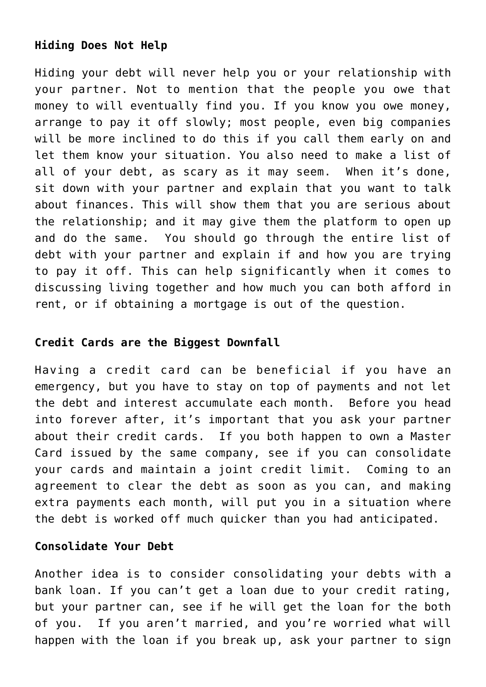#### **Hiding Does Not Help**

Hiding your debt will never help you or your relationship with your partner. Not to mention that the people you owe that money to will eventually find you. If you know you owe money, arrange to pay it off slowly; most people, even big companies will be more inclined to do this if you call them early on and let them know your situation. You also need to make a list of all of your debt, as scary as it may seem. When it's done, sit down with your partner and explain that you want to talk about finances. This will show them that you are serious about the relationship; and it may give them the platform to open up and do the same. You should go through the entire list of debt with your partner and explain if and how you are trying to pay it off. This can help significantly when it comes to discussing living together and how much you can both afford in rent, or if obtaining a mortgage is out of the question.

#### **Credit Cards are the Biggest Downfall**

Having a credit card can be beneficial if you have an emergency, but you have to stay on top of payments and not let the debt and interest accumulate each month. Before you head into forever after, it's important that you ask your partner about their credit cards. If you both happen to own a Master Card issued by the same company, see if you can consolidate your cards and maintain a joint credit limit. Coming to an agreement to clear the debt as soon as you can, and making extra payments each month, will put you in a situation where the debt is worked off much quicker than you had anticipated.

#### **Consolidate Your Debt**

Another idea is to consider consolidating your debts with a bank loan. If you can't get a loan due to your credit rating, but your partner can, see if he will get the loan for the both of you. If you aren't married, and you're worried what will happen with the loan if you break up, ask your partner to sign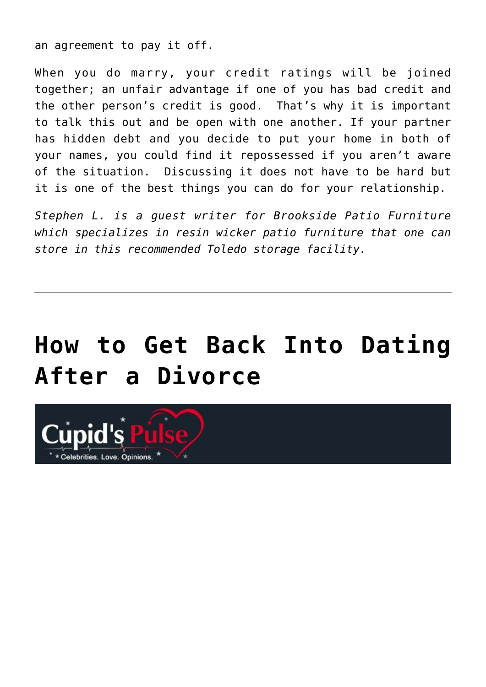an agreement to pay it off.

When you do marry, your credit ratings will be joined together; an unfair advantage if one of you has bad credit and the other person's credit is good. That's why it is important to talk this out and be open with one another. If your partner has hidden debt and you decide to put your home in both of your names, you could find it repossessed if you aren't aware of the situation. Discussing it does not have to be hard but it is one of the best things you can do for your relationship.

*Stephen L. is a guest writer for Brookside Patio Furniture which specializes in resin wicker patio furniture that one can store in this recommended Toledo storage facility.*

### **[How to Get Back Into Dating](https://cupidspulse.com/15675/how-to-get-back-into-dating-after-a-divorce/) [After a Divorce](https://cupidspulse.com/15675/how-to-get-back-into-dating-after-a-divorce/)**

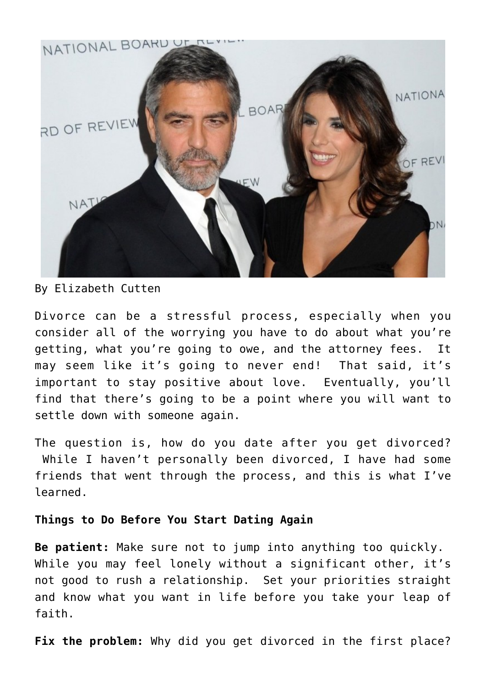

By Elizabeth Cutten

Divorce can be a stressful process, especially when you consider all of the worrying you have to do about what you're getting, what you're going to owe, and the attorney fees. It may seem like it's going to never end! That said, it's important to stay positive about love. Eventually, you'll find that there's going to be a point where you will want to settle down with someone again.

The question is, how do you date after you get divorced? While I haven't personally been divorced, I have had some friends that went through the process, and this is what I've learned.

#### **Things to Do Before You Start Dating Again**

**Be patient:** Make sure not to jump into anything too quickly. While you may feel lonely without a significant other, it's not good to rush a relationship. Set your priorities straight and know what you want in life before you take your leap of faith.

**Fix the problem:** Why did you get divorced in the first place?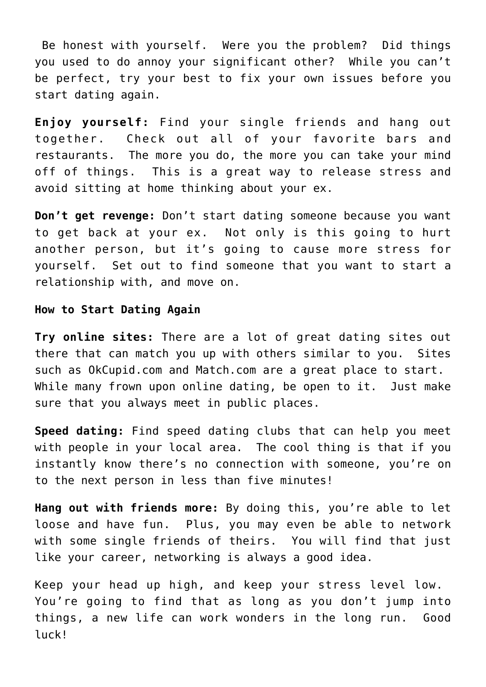Be honest with yourself. Were you the problem? Did things you used to do annoy your significant other? While you can't be perfect, try your best to fix your own issues before you start dating again.

**Enjoy yourself:** Find your single friends and hang out together. Check out all of your favorite bars and restaurants. The more you do, the more you can take your mind off of things. This is a great way to release stress and avoid sitting at home thinking about your ex.

**Don't get revenge:** Don't start dating someone because you want to get back at your ex. Not only is this going to hurt another person, but it's going to cause more stress for yourself. Set out to find someone that you want to start a relationship with, and move on.

#### **How to Start Dating Again**

**Try online sites:** There are a lot of great dating sites out there that can match you up with others similar to you. Sites such as OkCupid.com and Match.com are a great place to start. While many frown upon online dating, be open to it. Just make sure that you always meet in public places.

**Speed dating:** Find speed dating clubs that can help you meet with people in your local area. The cool thing is that if you instantly know there's no connection with someone, you're on to the next person in less than five minutes!

**Hang out with friends more:** By doing this, you're able to let loose and have fun. Plus, you may even be able to network with some single friends of theirs. You will find that just like your career, networking is always a good idea.

Keep your head up high, and keep your stress level low. You're going to find that as long as you don't jump into things, a new life can work wonders in the long run. Good luck!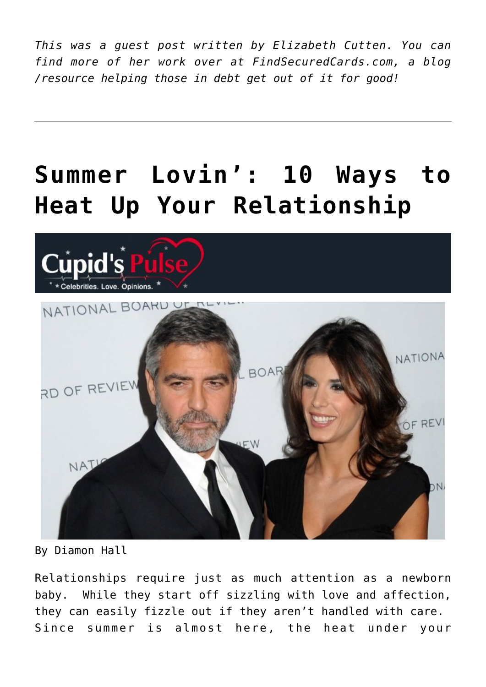*This was a guest post written by Elizabeth Cutten. You can find more of her work over at FindSecuredCards.com, a blog /resource helping those in debt get out of it for good!*

### **[Summer Lovin': 10 Ways to](https://cupidspulse.com/15635/summer-lovin-10-ways-heat-up-relationship/) [Heat Up Your Relationship](https://cupidspulse.com/15635/summer-lovin-10-ways-heat-up-relationship/)**



By Diamon Hall

Relationships require just as much attention as a newborn baby. While they start off sizzling with love and affection, they can easily fizzle out if they aren't handled with care. Since summer is almost here, the heat under your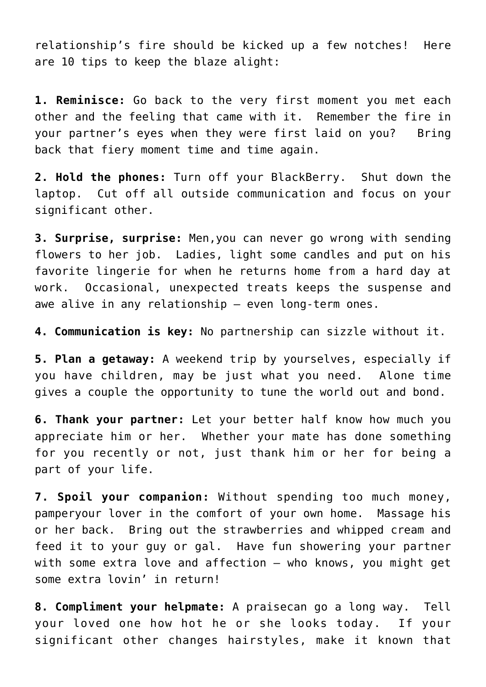relationship's fire should be kicked up a few notches! Here are 10 tips to keep the blaze alight:

**1. Reminisce:** Go back to the very first moment you met each other and the feeling that came with it. Remember the fire in your partner's eyes when they were first laid on you? Bring back that fiery moment time and time again.

**2. Hold the phones:** Turn off your BlackBerry. Shut down the laptop. Cut off all outside communication and focus on your significant other.

**3. Surprise, surprise:** Men,you can never go wrong with sending flowers to her job. Ladies, light some candles and put on his favorite lingerie for when he returns home from a hard day at work. Occasional, unexpected treats keeps the suspense and awe alive in any relationship – even long-term ones.

**4. Communication is key:** No partnership can sizzle without it.

**5. Plan a getaway:** A weekend trip by yourselves, especially if you have children, may be just what you need. Alone time gives a couple the opportunity to tune the world out and bond.

**6. Thank your partner:** Let your better half know how much you appreciate him or her. Whether your mate has done something for you recently or not, just thank him or her for being a part of your life.

**7. Spoil your companion:** Without spending too much money, pamperyour lover in the comfort of your own home. Massage his or her back. Bring out the strawberries and whipped cream and feed it to your guy or gal. Have fun showering your partner with some extra love and affection – who knows, you might get some extra lovin' in return!

**8. Compliment your helpmate:** A praisecan go a long way. Tell your loved one how hot he or she looks today. If your significant other changes hairstyles, make it known that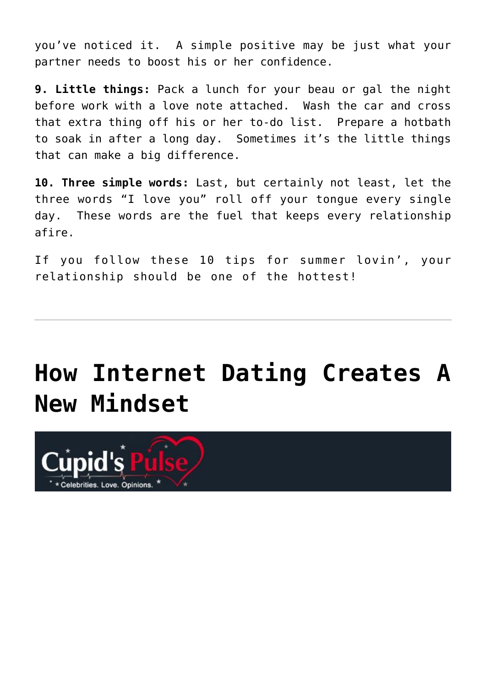you've noticed it. A simple positive may be just what your partner needs to boost his or her confidence.

**9. Little things:** Pack a lunch for your beau or gal the night before work with a love note attached. Wash the car and cross that extra thing off his or her to-do list. Prepare a hotbath to soak in after a long day. Sometimes it's the little things that can make a big difference.

**10. Three simple words:** Last, but certainly not least, let the three words "I love you" roll off your tongue every single day. These words are the fuel that keeps every relationship afire.

If you follow these 10 tips for summer lovin', your relationship should be one of the hottest!

### **[How Internet Dating Creates A](https://cupidspulse.com/14907/how-internet-dating-creates-a-new-mindset/) [New Mindset](https://cupidspulse.com/14907/how-internet-dating-creates-a-new-mindset/)**

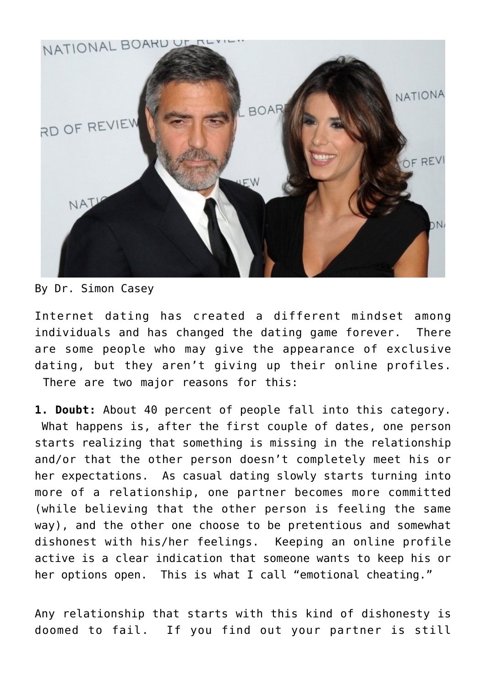

By Dr. Simon Casey

Internet dating has created a different mindset among individuals and has changed the dating game forever. There are some people who may give the appearance of exclusive dating, but they aren't giving up their online profiles. There are two major reasons for this:

**1. Doubt:** About 40 percent of people fall into this category. What happens is, after the first couple of dates, one person starts realizing that something is missing in the relationship and/or that the other person doesn't completely meet his or her expectations. As casual dating slowly starts turning into more of a relationship, one partner becomes more committed (while believing that the other person is feeling the same way), and the other one choose to be pretentious and somewhat dishonest with his/her feelings. Keeping an online profile active is a clear indication that someone wants to keep his or her options open. This is what I call "emotional cheating."

Any relationship that starts with this kind of dishonesty is doomed to fail. If you find out your partner is still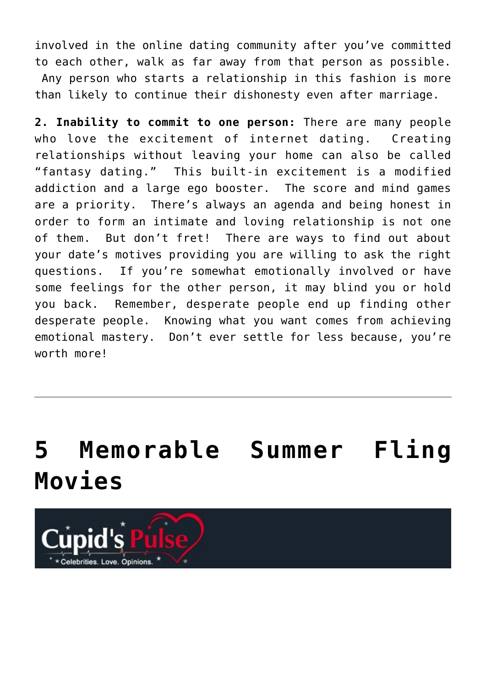involved in the online dating community after you've committed to each other, walk as far away from that person as possible. Any person who starts a relationship in this fashion is more than likely to continue their dishonesty even after marriage.

**2. Inability to commit to one person:** There are many people who love the excitement of internet dating. Creating relationships without leaving your home can also be called "fantasy dating." This built-in excitement is a modified addiction and a large ego booster. The score and mind games are a priority. There's always an agenda and being honest in order to form an intimate and loving relationship is not one of them. But don't fret! There are ways to find out about your date's motives providing you are willing to ask the right questions. If you're somewhat emotionally involved or have some feelings for the other person, it may blind you or hold you back. Remember, desperate people end up finding other desperate people. Knowing what you want comes from achieving emotional mastery. Don't ever settle for less because, you're worth more!

### **[5 Memorable Summer Fling](https://cupidspulse.com/15525/5-memorable-summer-fling-movies/) [Movies](https://cupidspulse.com/15525/5-memorable-summer-fling-movies/)**

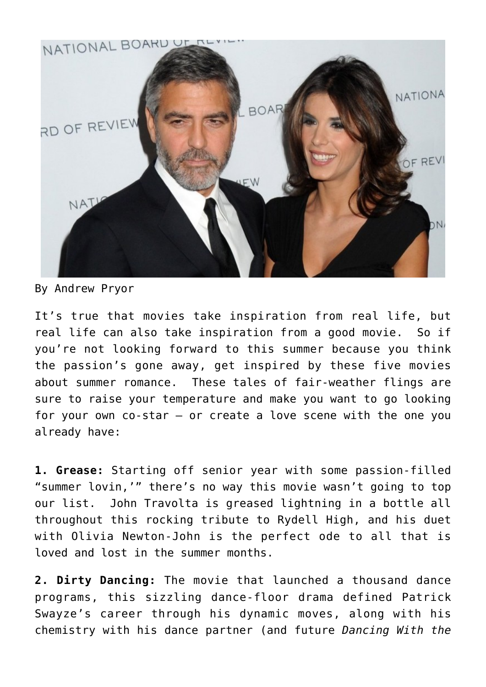

By Andrew Pryor

It's true that movies take inspiration from real life, but real life can also take inspiration from a good movie. So if you're not looking forward to this summer because you think the passion's gone away, get inspired by these five movies about summer romance. These tales of fair-weather flings are sure to raise your temperature and make you want to go looking for your own co-star – or create a love scene with the one you already have:

**1. Grease:** Starting off senior year with some passion-filled "summer lovin,'" there's no way this movie wasn't going to top our list. John Travolta is greased lightning in a bottle all throughout this rocking tribute to Rydell High, and his duet with Olivia Newton-John is the perfect ode to all that is loved and lost in the summer months.

**2. Dirty Dancing:** The movie that launched a thousand dance programs, this sizzling dance-floor drama defined Patrick Swayze's career through his dynamic moves, along with his chemistry with his dance partner (and future *Dancing With the*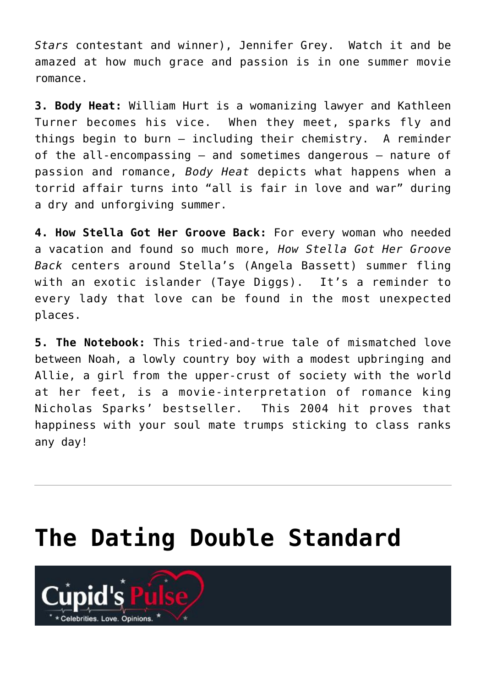*Stars* contestant and winner), Jennifer Grey. Watch it and be amazed at how much grace and passion is in one summer movie romance.

**3. Body Heat:** William Hurt is a womanizing lawyer and Kathleen Turner becomes his vice. When they meet, sparks fly and things begin to burn – including their chemistry. A reminder of the all-encompassing – and sometimes dangerous – nature of passion and romance, *Body Heat* depicts what happens when a torrid affair turns into "all is fair in love and war" during a dry and unforgiving summer.

**4. How Stella Got Her Groove Back:** For every woman who needed a vacation and found so much more, *How Stella Got Her Groove Back* centers around Stella's (Angela Bassett) summer fling with an exotic islander (Taye Diggs). It's a reminder to every lady that love can be found in the most unexpected places.

**5. The Notebook:** This tried-and-true tale of mismatched love between Noah, a lowly country boy with a modest upbringing and Allie, a girl from the upper-crust of society with the world at her feet, is a movie-interpretation of romance king Nicholas Sparks' bestseller. This 2004 hit proves that happiness with your soul mate trumps sticking to class ranks any day!

### **[The Dating Double Standard](https://cupidspulse.com/15050/the-dating-double-standard/)**

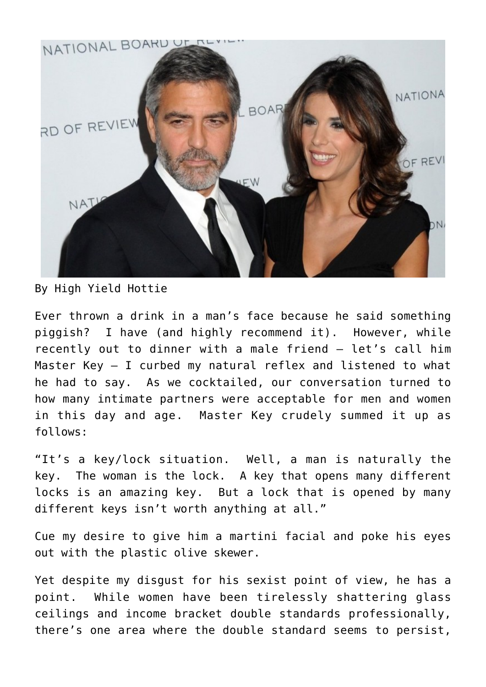

By High Yield Hottie

Ever thrown a drink in a man's face because he said something piggish? I have (and highly recommend it). However, while recently out to dinner with a male friend – let's call him Master Key – I curbed my natural reflex and listened to what he had to say. As we cocktailed, our conversation turned to how many intimate partners were acceptable for men and women in this day and age. Master Key crudely summed it up as follows:

"It's a key/lock situation. Well, a man is naturally the key. The woman is the lock. A key that opens many different locks is an amazing key. But a lock that is opened by many different keys isn't worth anything at all."

Cue my desire to give him a martini facial and poke his eyes out with the plastic olive skewer.

Yet despite my disgust for his sexist point of view, he has a point. While women have been tirelessly shattering glass ceilings and income bracket double standards professionally, there's one area where the double standard seems to persist,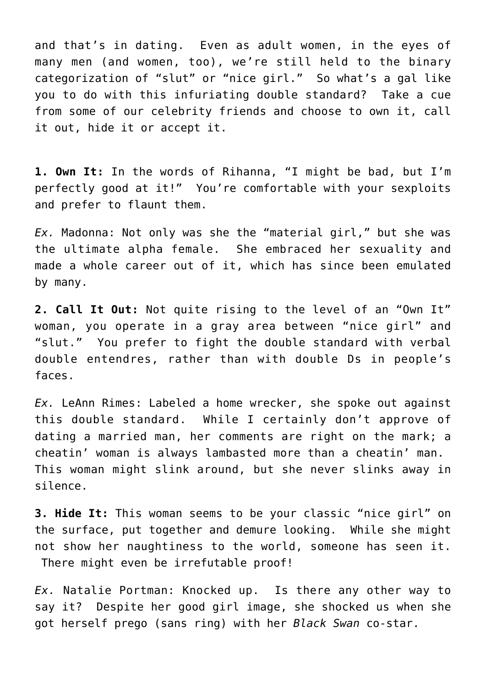and that's in dating. Even as adult women, in the eyes of many men (and women, too), we're still held to the binary categorization of "slut" or "nice girl." So what's a gal like you to do with this infuriating double standard? Take a cue from some of our celebrity friends and choose to own it, call it out, hide it or accept it.

**1. Own It:** In the words of Rihanna, "I might be bad, but I'm perfectly good at it!" You're comfortable with your sexploits and prefer to flaunt them.

*Ex.* Madonna: Not only was she the "material girl," but she was the ultimate alpha female. She embraced her sexuality and made a whole career out of it, which has since been emulated by many.

**2. Call It Out:** Not quite rising to the level of an "Own It" woman, you operate in a gray area between "nice girl" and "slut." You prefer to fight the double standard with verbal double entendres, rather than with double Ds in people's faces.

*Ex.* LeAnn Rimes: Labeled a home wrecker, she spoke out against this double standard. While I certainly don't approve of dating a married man, her comments are right on the mark; a cheatin' woman is always lambasted more than a cheatin' man. This woman might slink around, but she never slinks away in silence.

**3. Hide It:** This woman seems to be your classic "nice girl" on the surface, put together and demure looking. While she might not show her naughtiness to the world, someone has seen it. There might even be irrefutable proof!

*Ex.* Natalie Portman: Knocked up. Is there any other way to say it? Despite her good girl image, she shocked us when she got herself prego (sans ring) with her *Black Swan* co-star.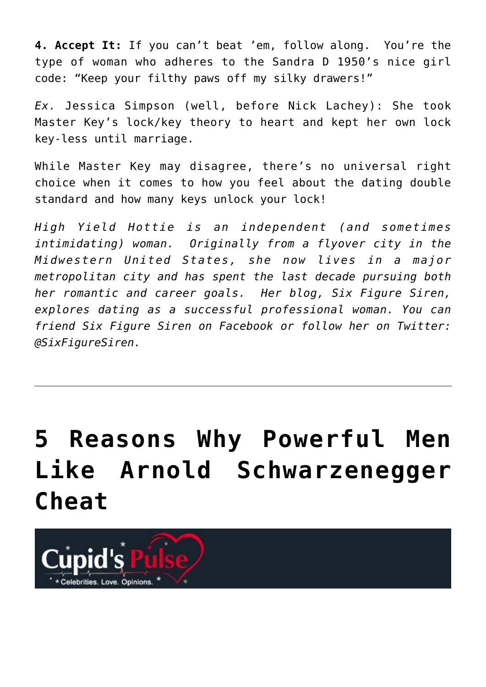**4. Accept It:** If you can't beat 'em, follow along. You're the type of woman who adheres to the Sandra D 1950's nice girl code: "Keep your filthy paws off my silky drawers!"

*Ex.* Jessica Simpson (well, before Nick Lachey): She took Master Key's lock/key theory to heart and kept her own lock key-less until marriage.

While Master Key may disagree, there's no universal right choice when it comes to how you feel about the dating double standard and how many keys unlock your lock!

*High Yield Hottie is an independent (and sometimes intimidating) woman. Originally from a flyover city in the Midwestern United States, she now lives in a major metropolitan city and has spent the last decade pursuing both her romantic and career goals. Her blog, Six Figure Siren, explores dating as a successful professional woman. You can friend Six Figure Siren on Facebook or follow her on Twitter: @SixFigureSiren.*

# **[5 Reasons Why Powerful Men](https://cupidspulse.com/15403/5-reasons-why-powerful-men-like-arnold-schwarzenegger-cheat/) [Like Arnold Schwarzenegger](https://cupidspulse.com/15403/5-reasons-why-powerful-men-like-arnold-schwarzenegger-cheat/) [Cheat](https://cupidspulse.com/15403/5-reasons-why-powerful-men-like-arnold-schwarzenegger-cheat/)**

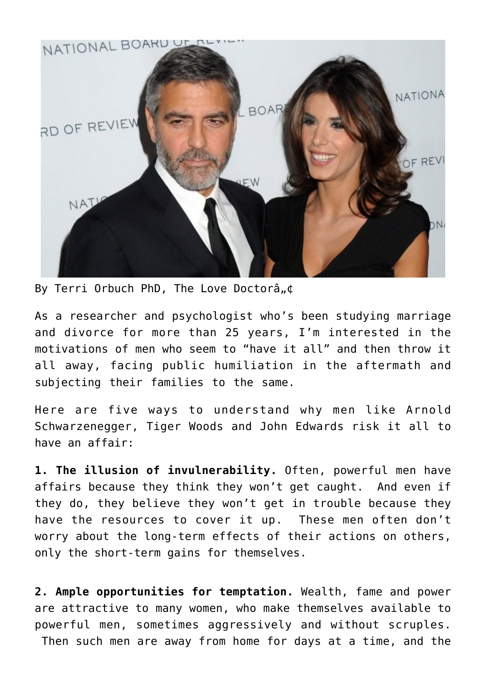

By Terri Orbuch PhD, The Love Doctorâ, $\phi$ 

As a researcher and psychologist who's been studying marriage and divorce for more than 25 years, I'm interested in the motivations of men who seem to "have it all" and then throw it all away, facing public humiliation in the aftermath and subjecting their families to the same.

Here are five ways to understand why men like Arnold Schwarzenegger, Tiger Woods and John Edwards risk it all to have an affair:

**1. The illusion of invulnerability.** Often, powerful men have affairs because they think they won't get caught. And even if they do, they believe they won't get in trouble because they have the resources to cover it up. These men often don't worry about the long-term effects of their actions on others, only the short-term gains for themselves.

**2. Ample opportunities for temptation.** Wealth, fame and power are attractive to many women, who make themselves available to powerful men, sometimes aggressively and without scruples. Then such men are away from home for days at a time, and the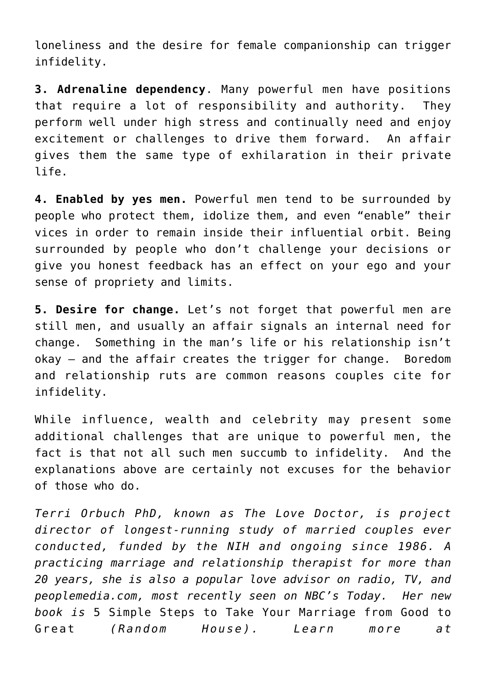loneliness and the desire for female companionship can trigger infidelity.

**3. Adrenaline dependency**. Many powerful men have positions that require a lot of responsibility and authority. They perform well under high stress and continually need and enjoy excitement or challenges to drive them forward. An affair gives them the same type of exhilaration in their private life.

**4. Enabled by yes men.** Powerful men tend to be surrounded by people who protect them, idolize them, and even "enable" their vices in order to remain inside their influential orbit. Being surrounded by people who don't challenge your decisions or give you honest feedback has an effect on your ego and your sense of propriety and limits.

**5. Desire for change.** Let's not forget that powerful men are still men, and usually an affair signals an internal need for change. Something in the man's life or his relationship isn't okay — and the affair creates the trigger for change. Boredom and relationship ruts are common reasons couples cite for infidelity.

While influence, wealth and celebrity may present some additional challenges that are unique to powerful men, the fact is that not all such men succumb to infidelity. And the explanations above are certainly not excuses for the behavior of those who do.

*Terri Orbuch PhD, known as The Love Doctor, is project director of longest-running study of married couples ever conducted, funded by the NIH and ongoing since 1986. A practicing marriage and relationship therapist for more than 20 years, she is also a popular love advisor on radio, TV, and peoplemedia.com, most recently seen on NBC's Today. Her new book is* 5 Simple Steps to Take Your Marriage from Good to Great *(Random House). Learn more at*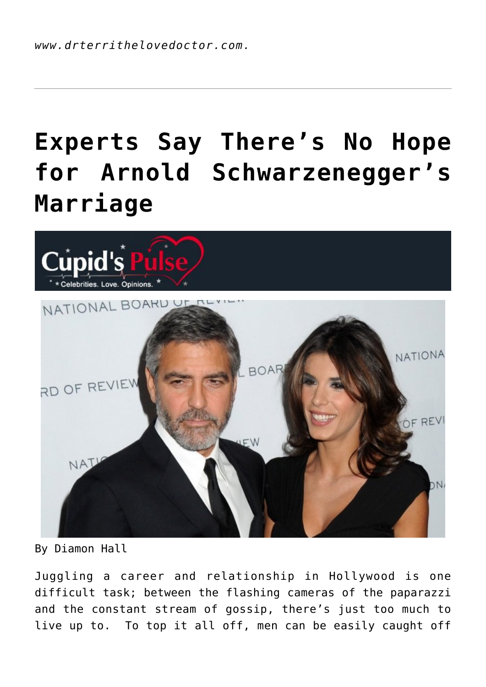# **[Experts Say There's No Hope](https://cupidspulse.com/15424/experts-say-no-hope-arnold-schwarzeneggers-maria-shrivers-marriage/) [for Arnold Schwarzenegger's](https://cupidspulse.com/15424/experts-say-no-hope-arnold-schwarzeneggers-maria-shrivers-marriage/) [Marriage](https://cupidspulse.com/15424/experts-say-no-hope-arnold-schwarzeneggers-maria-shrivers-marriage/)**



By Diamon Hall

Juggling a career and relationship in Hollywood is one difficult task; between the flashing cameras of the paparazzi and the constant stream of gossip, there's just too much to live up to. To top it all off, men can be easily caught off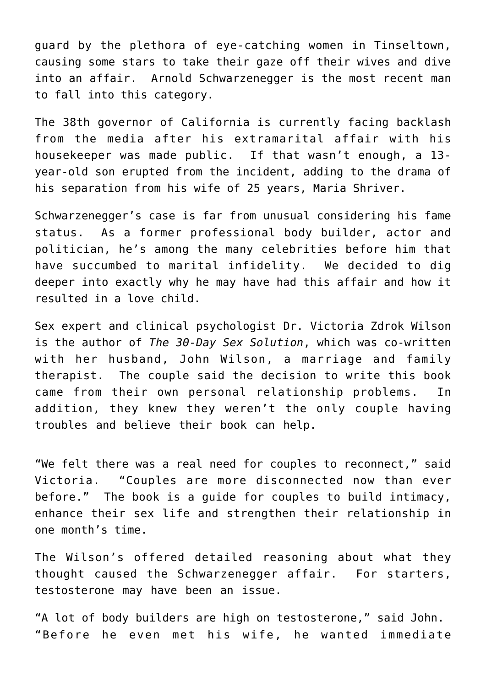guard by the plethora of eye-catching women in Tinseltown, causing some stars to take their gaze off their wives and dive into an affair. Arnold Schwarzenegger is the most recent man to fall into this category.

The 38th governor of California is currently facing backlash from the media after his extramarital affair with his housekeeper was made public. If that wasn't enough, a 13 year-old son erupted from the incident, adding to the drama of his separation from his wife of 25 years, Maria Shriver.

Schwarzenegger's case is far from unusual considering his fame status. As a former professional body builder, actor and politician, he's among the many celebrities before him that have succumbed to marital infidelity. We decided to dig deeper into exactly why he may have had this affair and how it resulted in a love child.

Sex expert and clinical psychologist Dr. Victoria Zdrok Wilson is the author of *The 30-Day Sex Solution*, which was co-written with her husband, John Wilson, a marriage and family therapist. The couple said the decision to write this book came from their own personal relationship problems. In addition, they knew they weren't the only couple having troubles and believe their book can help.

"We felt there was a real need for couples to reconnect," said Victoria. "Couples are more disconnected now than ever before." The book is a guide for couples to build intimacy, enhance their sex life and strengthen their relationship in one month's time.

The Wilson's offered detailed reasoning about what they thought caused the Schwarzenegger affair. For starters, testosterone may have been an issue.

"A lot of body builders are high on testosterone," said John. "Before he even met his wife, he wanted immediate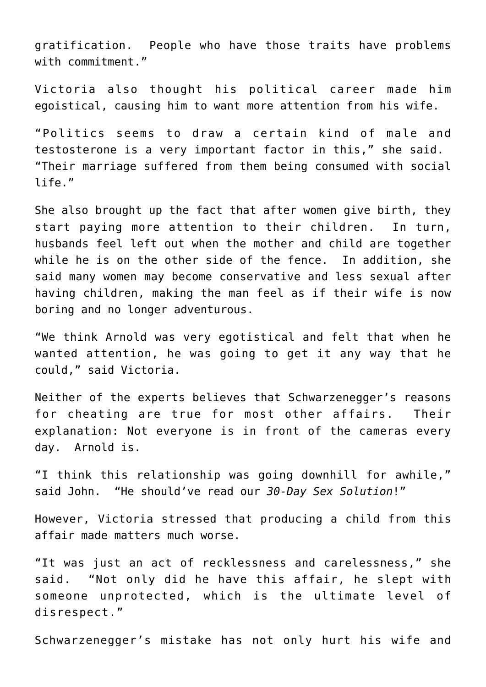gratification. People who have those traits have problems with commitment."

Victoria also thought his political career made him egoistical, causing him to want more attention from his wife.

"Politics seems to draw a certain kind of male and testosterone is a very important factor in this," she said. "Their marriage suffered from them being consumed with social life."

She also brought up the fact that after women give birth, they start paying more attention to their children. In turn, husbands feel left out when the mother and child are together while he is on the other side of the fence. In addition, she said many women may become conservative and less sexual after having children, making the man feel as if their wife is now boring and no longer adventurous.

"We think Arnold was very egotistical and felt that when he wanted attention, he was going to get it any way that he could," said Victoria.

Neither of the experts believes that Schwarzenegger's reasons for cheating are true for most other affairs. Their explanation: Not everyone is in front of the cameras every day. Arnold is.

"I think this relationship was going downhill for awhile," said John. "He should've read our *30-Day Sex Solution*!"

However, Victoria stressed that producing a child from this affair made matters much worse.

"It was just an act of recklessness and carelessness," she said. "Not only did he have this affair, he slept with someone unprotected, which is the ultimate level of disrespect."

Schwarzenegger's mistake has not only hurt his wife and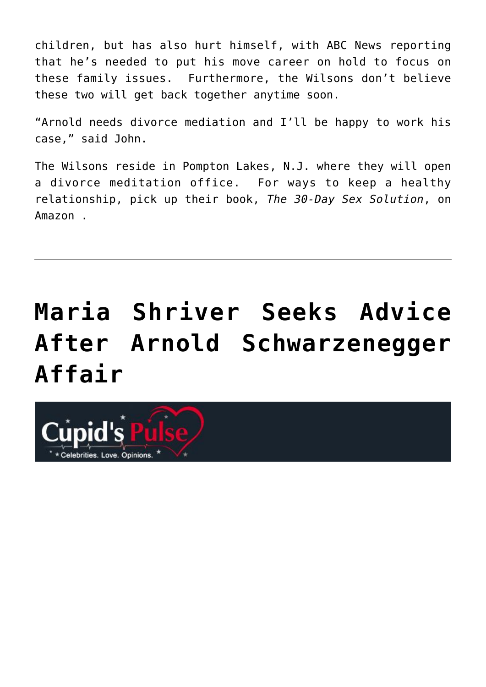children, but has also hurt himself, with ABC News reporting that he's needed to put his move career on hold to focus on these family issues. Furthermore, the Wilsons don't believe these two will get back together anytime soon.

"Arnold needs divorce mediation and I'll be happy to work his case," said John.

The Wilsons reside in Pompton Lakes, N.J. where they will open a divorce meditation office. For ways to keep a healthy relationship, pick up their book, *The 30-Day Sex Solution*, on Amazon .

# **[Maria Shriver Seeks Advice](https://cupidspulse.com/15362/maria-shriver-seeks-advice-after-arnold-schwarzenegger-affair/) [After Arnold Schwarzenegger](https://cupidspulse.com/15362/maria-shriver-seeks-advice-after-arnold-schwarzenegger-affair/) [Affair](https://cupidspulse.com/15362/maria-shriver-seeks-advice-after-arnold-schwarzenegger-affair/)**

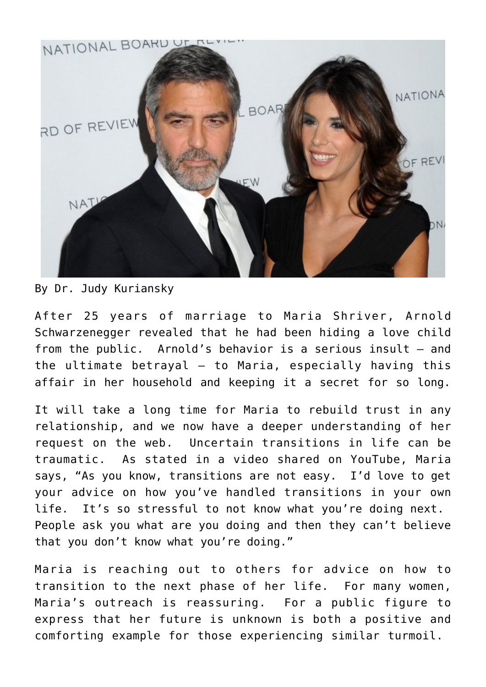

By Dr. Judy Kuriansky

After 25 years of marriage to Maria Shriver, Arnold Schwarzenegger revealed that he had been hiding a love child from the public. Arnold's behavior is a serious insult – and the ultimate betrayal – to Maria, especially having this affair in her household and keeping it a secret for so long.

It will take a long time for Maria to rebuild trust in any relationship, and we now have a deeper understanding of her request on the web. Uncertain transitions in life can be traumatic. As stated in a video shared on YouTube, Maria says, "As you know, transitions are not easy. I'd love to get your advice on how you've handled transitions in your own life. It's so stressful to not know what you're doing next. People ask you what are you doing and then they can't believe that you don't know what you're doing."

Maria is reaching out to others for advice on how to transition to the next phase of her life. For many women, Maria's outreach is reassuring. For a public figure to express that her future is unknown is both a positive and comforting example for those experiencing similar turmoil.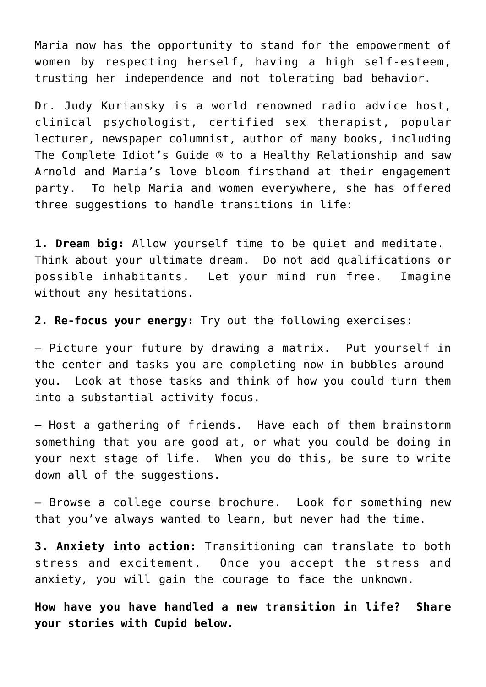Maria now has the opportunity to stand for the empowerment of women by respecting herself, having a high self-esteem, trusting her independence and not tolerating bad behavior.

Dr. Judy Kuriansky is a world renowned radio advice host, clinical psychologist, certified sex therapist, popular lecturer, newspaper columnist, author of many books, including The Complete Idiot's Guide ® to a Healthy Relationship and saw Arnold and Maria's love bloom firsthand at their engagement party. To help Maria and women everywhere, she has offered three suggestions to handle transitions in life:

**1. Dream big:** Allow yourself time to be quiet and meditate. Think about your ultimate dream. Do not add qualifications or possible inhabitants. Let your mind run free. Imagine without any hesitations.

**2. Re-focus your energy:** Try out the following exercises:

– Picture your future by drawing a matrix. Put yourself in the center and tasks you are completing now in bubbles around you. Look at those tasks and think of how you could turn them into a substantial activity focus.

– Host a gathering of friends. Have each of them brainstorm something that you are good at, or what you could be doing in your next stage of life. When you do this, be sure to write down all of the suggestions.

– Browse a college course brochure. Look for something new that you've always wanted to learn, but never had the time.

**3. Anxiety into action:** Transitioning can translate to both stress and excitement. Once you accept the stress and anxiety, you will gain the courage to face the unknown.

**How have you have handled a new transition in life? Share your stories with Cupid below.**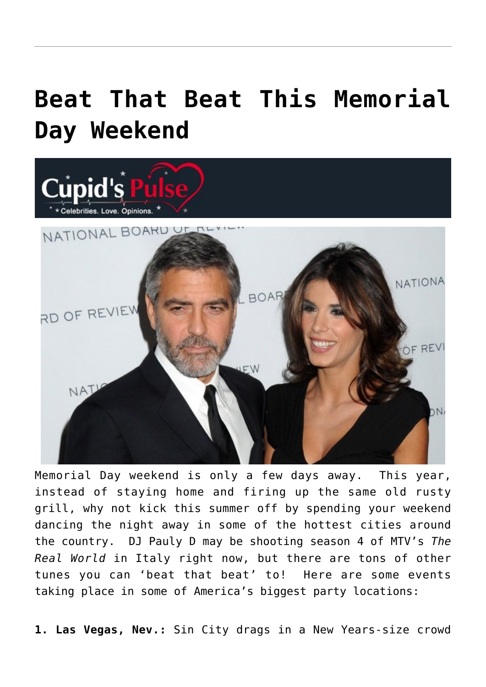## **[Beat That Beat This Memorial](https://cupidspulse.com/15446/5-cities-beat-that-beat-memorial-day-weekend/) [Day Weekend](https://cupidspulse.com/15446/5-cities-beat-that-beat-memorial-day-weekend/)**



Memorial Day weekend is only a few days away. This year, instead of staying home and firing up the same old rusty grill, why not kick this summer off by spending your weekend dancing the night away in some of the hottest cities around the country. DJ Pauly D may be shooting season 4 of MTV's *The Real World* in Italy right now, but there are tons of other tunes you can 'beat that beat' to! Here are some events taking place in some of America's biggest party locations:

**1. Las Vegas, Nev.:** Sin City drags in a New Years-size crowd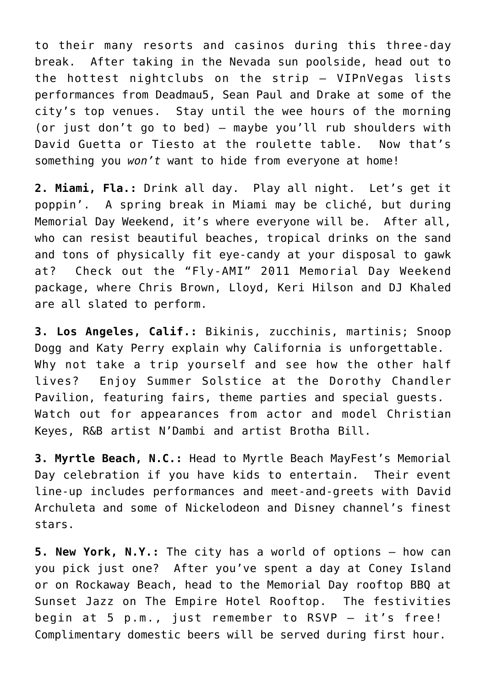to their many resorts and casinos during this three-day break. After taking in the Nevada sun poolside, head out to the hottest nightclubs on the strip – VIPnVegas lists performances from Deadmau5, Sean Paul and Drake at some of the city's top venues. Stay until the wee hours of the morning (or just don't go to bed) – maybe you'll rub shoulders with David Guetta or Tiesto at the roulette table. Now that's something you *won't* want to hide from everyone at home!

**2. Miami, Fla.:** Drink all day. Play all night. Let's get it poppin'. A spring break in Miami may be cliché, but during Memorial Day Weekend, it's where everyone will be. After all, who can resist beautiful beaches, tropical drinks on the sand and tons of physically fit eye-candy at your disposal to gawk at? Check out the "Fly-AMI" 2011 Memorial Day Weekend package, where Chris Brown, Lloyd, Keri Hilson and DJ Khaled are all slated to perform.

**3. Los Angeles, Calif.:** Bikinis, zucchinis, martinis; Snoop Dogg and Katy Perry explain why California is unforgettable. Why not take a trip yourself and see how the other half lives? Enjoy Summer Solstice at the Dorothy Chandler Pavilion, featuring fairs, theme parties and special guests. Watch out for appearances from actor and model Christian Keyes, R&B artist N'Dambi and artist Brotha Bill.

**3. Myrtle Beach, N.C.:** Head to Myrtle Beach MayFest's Memorial Day celebration if you have kids to entertain. Their event line-up includes performances and meet-and-greets with David Archuleta and some of Nickelodeon and Disney channel's finest stars.

**5. New York, N.Y.:** The city has a world of options – how can you pick just one? After you've spent a day at Coney Island or on Rockaway Beach, head to the Memorial Day rooftop BBQ at Sunset Jazz on The Empire Hotel Rooftop. The festivities begin at 5 p.m., just remember to RSVP – it's free! Complimentary domestic beers will be served during first hour.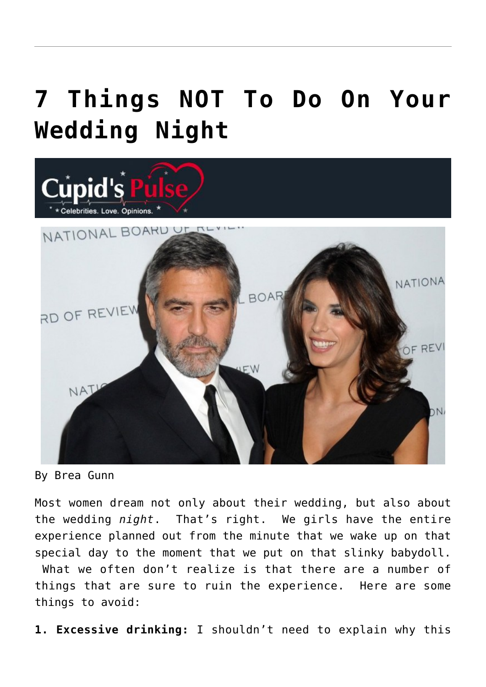# **[7 Things NOT To Do On Your](https://cupidspulse.com/14878/7-things-not-to-do-on-your-wedding-night/) [Wedding Night](https://cupidspulse.com/14878/7-things-not-to-do-on-your-wedding-night/)**



By Brea Gunn

Most women dream not only about their wedding, but also about the wedding *night*. That's right. We girls have the entire experience planned out from the minute that we wake up on that special day to the moment that we put on that slinky babydoll. What we often don't realize is that there are a number of things that are sure to ruin the experience. Here are some things to avoid:

**1. Excessive drinking:** I shouldn't need to explain why this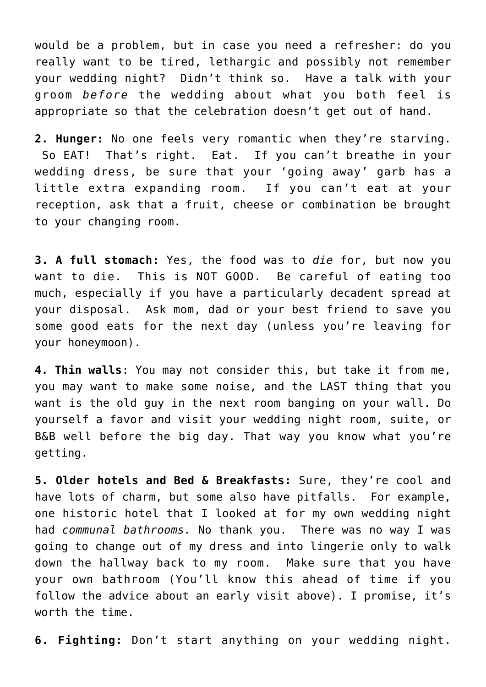would be a problem, but in case you need a refresher: do you really want to be tired, lethargic and possibly not remember your wedding night? Didn't think so. Have a talk with your groom *before* the wedding about what you both feel is appropriate so that the celebration doesn't get out of hand.

**2. Hunger:** No one feels very romantic when they're starving. So EAT! That's right. Eat. If you can't breathe in your wedding dress, be sure that your 'going away' garb has a little extra expanding room. If you can't eat at your reception, ask that a fruit, cheese or combination be brought to your changing room.

**3. A full stomach:** Yes, the food was to *die* for, but now you want to die. This is NOT GOOD. Be careful of eating too much, especially if you have a particularly decadent spread at your disposal. Ask mom, dad or your best friend to save you some good eats for the next day (unless you're leaving for your honeymoon).

**4. Thin walls**: You may not consider this, but take it from me, you may want to make some noise, and the LAST thing that you want is the old guy in the next room banging on your wall. Do yourself a favor and visit your wedding night room, suite, or B&B well before the big day. That way you know what you're getting.

**5. Older hotels and Bed & Breakfasts:** Sure, they're cool and have lots of charm, but some also have pitfalls. For example, one historic hotel that I looked at for my own wedding night had *communal bathrooms.* No thank you. There was no way I was going to change out of my dress and into lingerie only to walk down the hallway back to my room. Make sure that you have your own bathroom (You'll know this ahead of time if you follow the advice about an early visit above). I promise, it's worth the time.

**6. Fighting:** Don't start anything on your wedding night.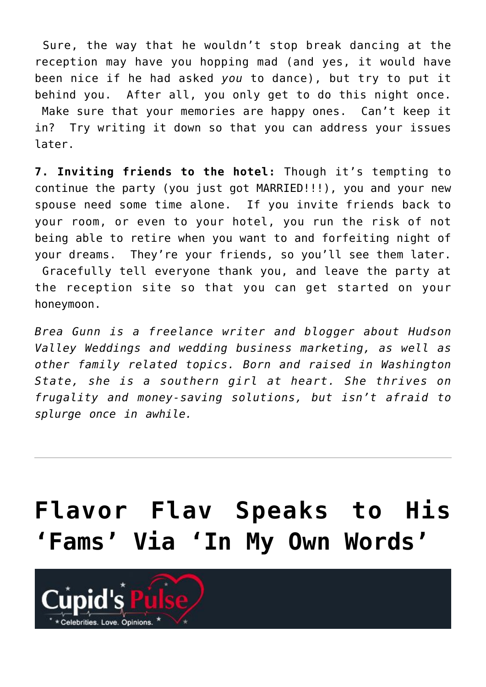Sure, the way that he wouldn't stop break dancing at the reception may have you hopping mad (and yes, it would have been nice if he had asked *you* to dance), but try to put it behind you. After all, you only get to do this night once. Make sure that your memories are happy ones. Can't keep it in? Try writing it down so that you can address your issues later.

**7. Inviting friends to the hotel:** Though it's tempting to continue the party (you just got MARRIED!!!), you and your new spouse need some time alone. If you invite friends back to your room, or even to your hotel, you run the risk of not being able to retire when you want to and forfeiting night of your dreams. They're your friends, so you'll see them later. Gracefully tell everyone thank you, and leave the party at the reception site so that you can get started on your honeymoon.

*Brea Gunn is a freelance writer and blogger about Hudson Valley Weddings and wedding business marketing, as well as other family related topics. Born and raised in Washington State, she is a southern girl at heart. She thrives on frugality and money-saving solutions, but isn't afraid to splurge once in awhile.*

## **[Flavor Flav Speaks to His](https://cupidspulse.com/15391/flavor-flav-speaks-fams-in-my-own-words/) ['Fams' Via 'In My Own Words'](https://cupidspulse.com/15391/flavor-flav-speaks-fams-in-my-own-words/)**

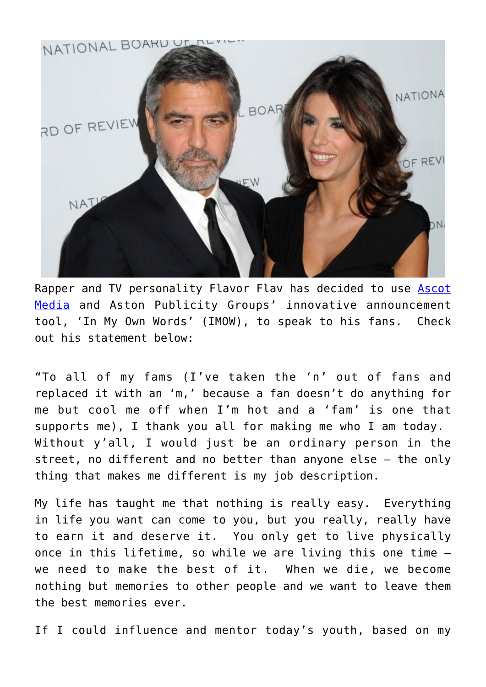

Rapper and TV personality Flavor Flav has decided to use [Ascot](http://www.ascotmedia.com/) [Media](http://www.ascotmedia.com/) and Aston Publicity Groups' innovative announcement tool, 'In My Own Words' (IMOW), to speak to his fans. Check out his statement below:

"To all of my fams (I've taken the 'n' out of fans and replaced it with an 'm,' because a fan doesn't do anything for me but cool me off when I'm hot and a 'fam' is one that supports me), I thank you all for making me who I am today. Without y'all, I would just be an ordinary person in the street, no different and no better than anyone else – the only thing that makes me different is my job description.

My life has taught me that nothing is really easy. Everything in life you want can come to you, but you really, really have to earn it and deserve it. You only get to live physically once in this lifetime, so while we are living this one time – we need to make the best of it. When we die, we become nothing but memories to other people and we want to leave them the best memories ever.

If I could influence and mentor today's youth, based on my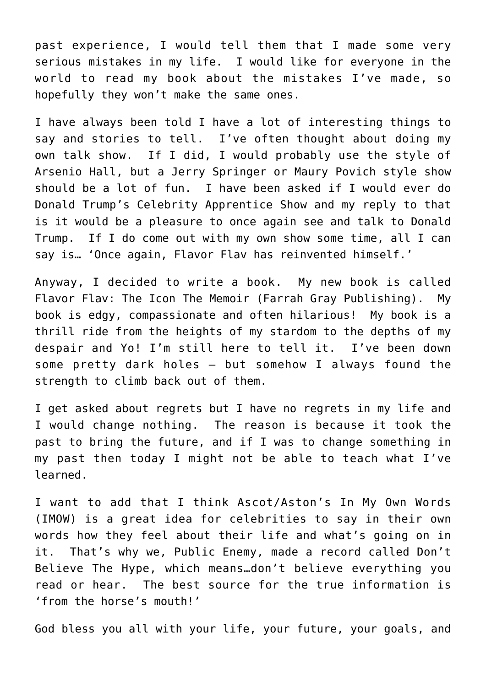past experience, I would tell them that I made some very serious mistakes in my life. I would like for everyone in the world to read my book about the mistakes I've made, so hopefully they won't make the same ones.

I have always been told I have a lot of interesting things to say and stories to tell. I've often thought about doing my own talk show. If I did, I would probably use the style of Arsenio Hall, but a Jerry Springer or Maury Povich style show should be a lot of fun. I have been asked if I would ever do Donald Trump's Celebrity Apprentice Show and my reply to that is it would be a pleasure to once again see and talk to Donald Trump. If I do come out with my own show some time, all I can say is… 'Once again, Flavor Flav has reinvented himself.'

Anyway, I decided to write a book. My new book is called Flavor Flav: The Icon The Memoir (Farrah Gray Publishing). My book is edgy, compassionate and often hilarious! My book is a thrill ride from the heights of my stardom to the depths of my despair and Yo! I'm still here to tell it. I've been down some pretty dark holes – but somehow I always found the strength to climb back out of them.

I get asked about regrets but I have no regrets in my life and I would change nothing. The reason is because it took the past to bring the future, and if I was to change something in my past then today I might not be able to teach what I've learned.

I want to add that I think Ascot/Aston's In My Own Words (IMOW) is a great idea for celebrities to say in their own words how they feel about their life and what's going on in it. That's why we, Public Enemy, made a record called Don't Believe The Hype, which means…don't believe everything you read or hear. The best source for the true information is 'from the horse's mouth!'

God bless you all with your life, your future, your goals, and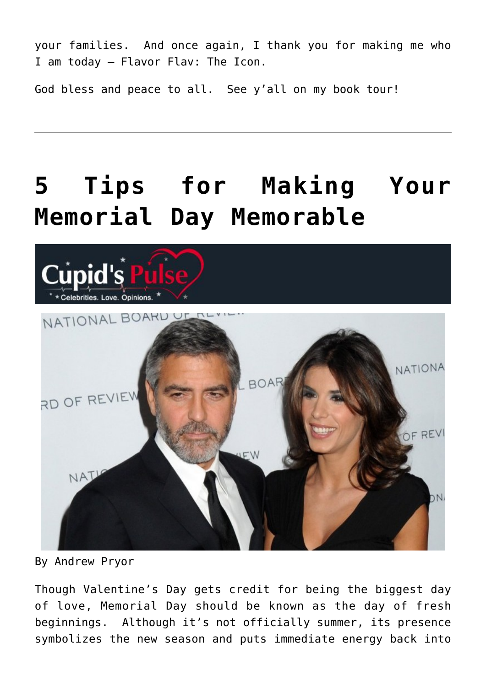your families. And once again, I thank you for making me who I am today – Flavor Flav: The Icon.

God bless and peace to all. See y'all on my book tour!

# **[5 Tips for Making Your](https://cupidspulse.com/15330/5-tips-memorial-day-memorable/) [Memorial Day Memorable](https://cupidspulse.com/15330/5-tips-memorial-day-memorable/)**



By Andrew Pryor

Though Valentine's Day gets credit for being the biggest day of love, Memorial Day should be known as the day of fresh beginnings. Although it's not officially summer, its presence symbolizes the new season and puts immediate energy back into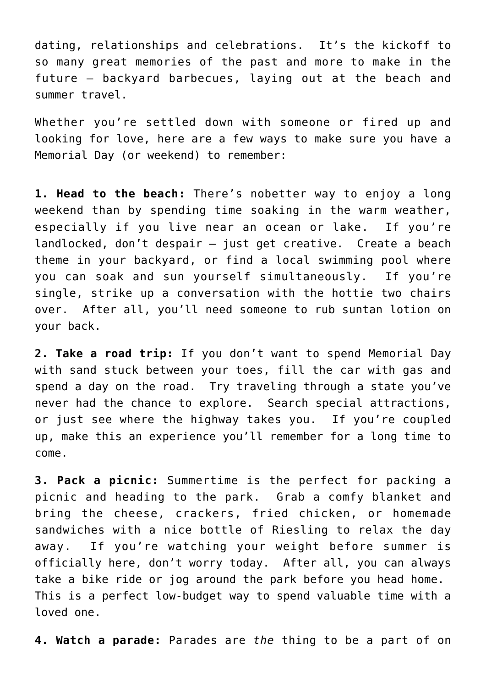dating, relationships and celebrations. It's the kickoff to so many great memories of the past and more to make in the future – backyard barbecues, laying out at the beach and summer travel.

Whether you're settled down with someone or fired up and looking for love, here are a few ways to make sure you have a Memorial Day (or weekend) to remember:

**1. Head to the beach:** There's nobetter way to enjoy a long weekend than by spending time soaking in the warm weather, especially if you live near an ocean or lake. If you're landlocked, don't despair – just get creative. Create a beach theme in your backyard, or find a local swimming pool where you can soak and sun yourself simultaneously. If you're single, strike up a conversation with the hottie two chairs over. After all, you'll need someone to rub suntan lotion on your back.

**2. Take a road trip:** If you don't want to spend Memorial Day with sand stuck between your toes, fill the car with gas and spend a day on the road. Try traveling through a state you've never had the chance to explore. Search special attractions, or just see where the highway takes you. If you're coupled up, make this an experience you'll remember for a long time to come.

**3. Pack a picnic:** Summertime is the perfect for packing a picnic and heading to the park. Grab a comfy blanket and bring the cheese, crackers, fried chicken, or homemade sandwiches with a nice bottle of Riesling to relax the day away. If you're watching your weight before summer is officially here, don't worry today. After all, you can always take a bike ride or jog around the park before you head home. This is a perfect low-budget way to spend valuable time with a loved one.

**4. Watch a parade:** Parades are *the* thing to be a part of on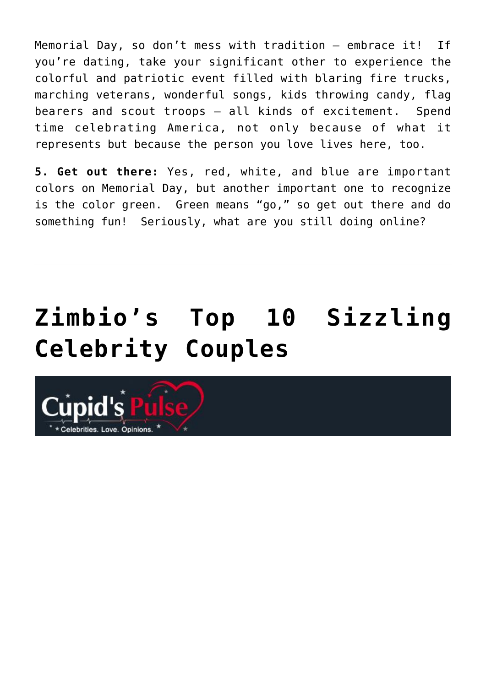Memorial Day, so don't mess with tradition – embrace it! If you're dating, take your significant other to experience the colorful and patriotic event filled with blaring fire trucks, marching veterans, wonderful songs, kids throwing candy, flag bearers and scout troops – all kinds of excitement. Spend time celebrating America, not only because of what it represents but because the person you love lives here, too.

**5. Get out there:** Yes, red, white, and blue are important colors on Memorial Day, but another important one to recognize is the color green. Green means "go," so get out there and do something fun! Seriously, what are you still doing online?

# **[Zimbio's Top 10 Sizzling](https://cupidspulse.com/15145/zimbios-top-10-sizzling-celebrity-couples/) [Celebrity Couples](https://cupidspulse.com/15145/zimbios-top-10-sizzling-celebrity-couples/)**

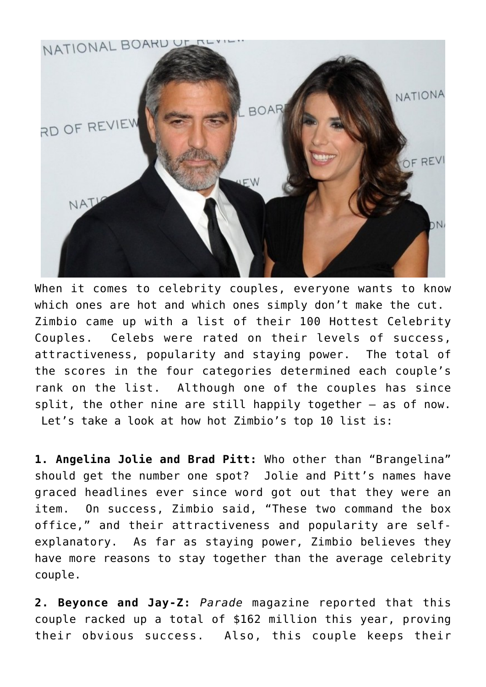

When it comes to celebrity couples, everyone wants to know which ones are hot and which ones simply don't make the cut. Zimbio came up with a list of their 100 Hottest Celebrity Couples. Celebs were rated on their levels of success, attractiveness, popularity and staying power. The total of the scores in the four categories determined each couple's rank on the list. Although one of the couples has since split, the other nine are still happily together – as of now. Let's take a look at how hot Zimbio's top 10 list is:

**1. Angelina Jolie and Brad Pitt:** Who other than "Brangelina" should get the number one spot? Jolie and Pitt's names have graced headlines ever since word got out that they were an item. On success, Zimbio said, "These two command the box office," and their attractiveness and popularity are selfexplanatory. As far as staying power, Zimbio believes they have more reasons to stay together than the average celebrity couple.

**2. Beyonce and Jay-Z:** *Parade* magazine reported that this couple racked up a total of \$162 million this year, proving their obvious success. Also, this couple keeps their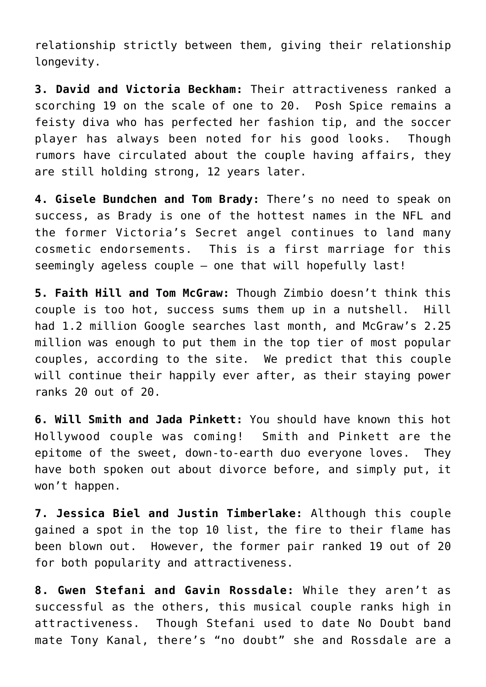relationship strictly between them, giving their relationship longevity.

**3. David and Victoria Beckham:** Their attractiveness ranked a scorching 19 on the scale of one to 20. Posh Spice remains a feisty diva who has perfected her fashion tip, and the soccer player has always been noted for his good looks. Though rumors have circulated about the couple having affairs, they are still holding strong, 12 years later.

**4. Gisele Bundchen and Tom Brady:** There's no need to speak on success, as Brady is one of the hottest names in the NFL and the former Victoria's Secret angel continues to land many cosmetic endorsements. This is a first marriage for this seemingly ageless couple – one that will hopefully last!

**5. Faith Hill and Tom McGraw:** Though Zimbio doesn't think this couple is too hot, success sums them up in a nutshell. Hill had 1.2 million Google searches last month, and McGraw's 2.25 million was enough to put them in the top tier of most popular couples, according to the site. We predict that this couple will continue their happily ever after, as their staying power ranks 20 out of 20.

**6. Will Smith and Jada Pinkett:** You should have known this hot Hollywood couple was coming! Smith and Pinkett are the epitome of the sweet, down-to-earth duo everyone loves. They have both spoken out about divorce before, and simply put, it won't happen.

**7. Jessica Biel and Justin Timberlake:** Although this couple gained a spot in the top 10 list, the fire to their flame has been blown out. However, the former pair ranked 19 out of 20 for both popularity and attractiveness.

**8. Gwen Stefani and Gavin Rossdale:** While they aren't as successful as the others, this musical couple ranks high in attractiveness. Though Stefani used to date No Doubt band mate Tony Kanal, there's "no doubt" she and Rossdale are a